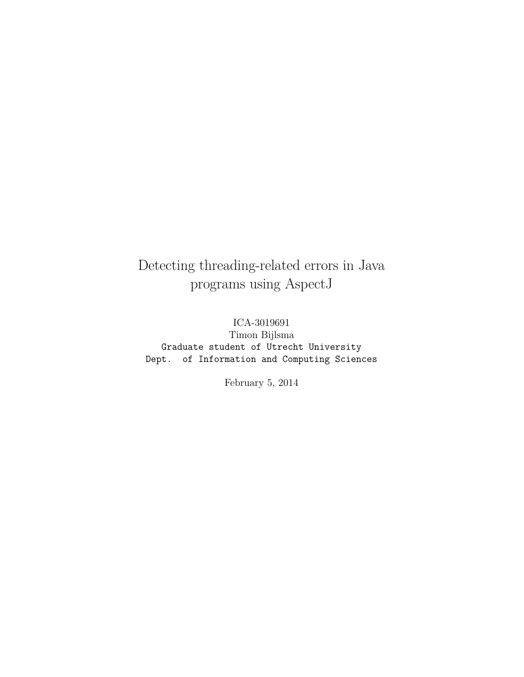## Detecting threading-related errors in Java programs using AspectJ

ICA-3019691 Timon Bijlsma Graduate student of Utrecht University Dept. of Information and Computing Sciences

February 5, 2014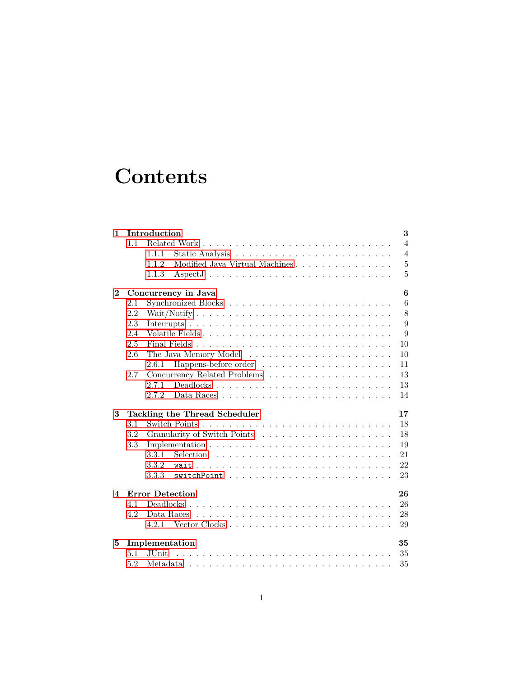# **Contents**

| 1                       |     | Introduction<br>3                                                                            |
|-------------------------|-----|----------------------------------------------------------------------------------------------|
|                         | 1.1 | $\overline{4}$                                                                               |
|                         |     | $\overline{4}$<br>1.1.1                                                                      |
|                         |     | $\overline{5}$<br>Modified Java Virtual Machines<br>1.1.2                                    |
|                         |     | 5<br>1.1.3                                                                                   |
| $\mathbf{2}$            |     | $\bf{6}$<br>Concurrency in Java                                                              |
|                         | 2.1 | 6                                                                                            |
|                         | 2.2 | 8                                                                                            |
|                         | 2.3 | 9                                                                                            |
|                         | 2.4 | 9<br>Volatile Fields                                                                         |
|                         | 2.5 | 10                                                                                           |
|                         | 2.6 | 10                                                                                           |
|                         |     | 2.6.1<br>11                                                                                  |
|                         | 2.7 | 13                                                                                           |
|                         |     | 2.7.1<br>13                                                                                  |
|                         |     | 14<br>2.7.2                                                                                  |
|                         |     |                                                                                              |
| 3                       |     | Tackling the Thread Scheduler<br>17                                                          |
|                         | 3.1 | 18                                                                                           |
|                         | 3.2 | 18                                                                                           |
|                         | 3.3 | Implementation $\ldots \ldots \ldots \ldots \ldots \ldots \ldots \ldots \ldots \ldots$<br>19 |
|                         |     | 3.3.1<br>21                                                                                  |
|                         |     | 3.3.2<br>22                                                                                  |
|                         |     | 23<br>3.3.3                                                                                  |
| $\overline{\mathbf{4}}$ |     | <b>Error Detection</b><br>26                                                                 |
|                         | 4.1 | 26                                                                                           |
|                         | 4.2 | Data Races $\ldots \ldots \ldots \ldots \ldots \ldots \ldots \ldots \ldots \ldots$<br>28     |
|                         |     | 4.2.1<br>29                                                                                  |
| 5                       |     | Implementation<br>35                                                                         |
|                         | 5.1 | 35<br><b>JUnit</b>                                                                           |
|                         | 5.2 | 35                                                                                           |
|                         |     |                                                                                              |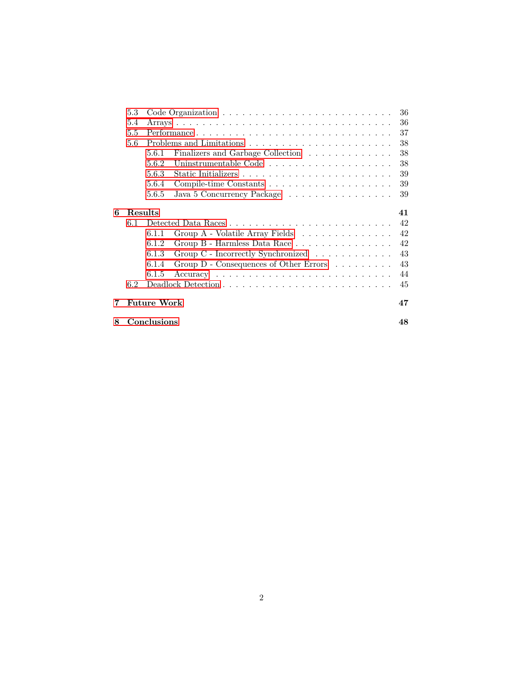|   | 5.3     |                                                                                             | 36 |  |  |
|---|---------|---------------------------------------------------------------------------------------------|----|--|--|
|   | 5.4     |                                                                                             | 36 |  |  |
|   | 5.5     | Performance                                                                                 |    |  |  |
|   | 5.6     |                                                                                             | 38 |  |  |
|   |         | 5.6.1<br>Finalizers and Garbage Collection                                                  | 38 |  |  |
|   |         | 5.6.2<br>Uninstrumentable Code                                                              | 38 |  |  |
|   |         | 5.6.3                                                                                       | 39 |  |  |
|   |         | 5.6.4                                                                                       | 39 |  |  |
|   |         | 5.6.5<br>Java 5 Concurrency Package                                                         | 39 |  |  |
| 6 | Results |                                                                                             | 41 |  |  |
|   | 6.1     |                                                                                             | 42 |  |  |
|   |         | Group A - Volatile Array Fields<br>6.1.1                                                    | 42 |  |  |
|   |         | Group B - Harmless Data Race<br>6.1.2                                                       | 42 |  |  |
|   |         | Group C - Incorrectly Synchronized<br>6.1.3                                                 | 43 |  |  |
|   |         | Group $D$ - Consequences of Other Errors $\ldots \ldots \ldots$<br>6.1.4                    | 43 |  |  |
|   |         | $Accuracy \dots \dots \dots \dots \dots \dots \dots \dots \dots \dots \dots \dots$<br>6.1.5 | 44 |  |  |
|   | 6.2     |                                                                                             | 45 |  |  |
| 7 |         | <b>Future Work</b>                                                                          | 47 |  |  |
| 8 |         | Conclusions                                                                                 | 48 |  |  |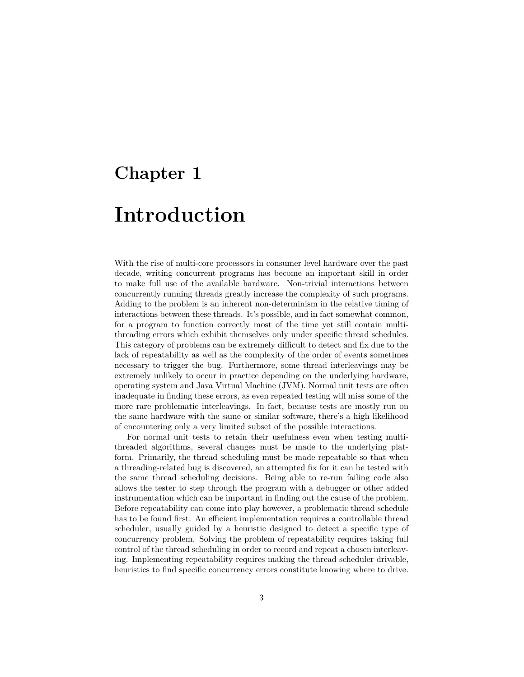## <span id="page-3-0"></span>**Chapter 1**

# **Introduction**

With the rise of multi-core processors in consumer level hardware over the past decade, writing concurrent programs has become an important skill in order to make full use of the available hardware. Non-trivial interactions between concurrently running threads greatly increase the complexity of such programs. Adding to the problem is an inherent non-determinism in the relative timing of interactions between these threads. It's possible, and in fact somewhat common, for a program to function correctly most of the time yet still contain multithreading errors which exhibit themselves only under specific thread schedules. This category of problems can be extremely difficult to detect and fix due to the lack of repeatability as well as the complexity of the order of events sometimes necessary to trigger the bug. Furthermore, some thread interleavings may be extremely unlikely to occur in practice depending on the underlying hardware, operating system and Java Virtual Machine (JVM). Normal unit tests are often inadequate in finding these errors, as even repeated testing will miss some of the more rare problematic interleavings. In fact, because tests are mostly run on the same hardware with the same or similar software, there's a high likelihood of encountering only a very limited subset of the possible interactions.

For normal unit tests to retain their usefulness even when testing multithreaded algorithms, several changes must be made to the underlying platform. Primarily, the thread scheduling must be made repeatable so that when a threading-related bug is discovered, an attempted fix for it can be tested with the same thread scheduling decisions. Being able to re-run failing code also allows the tester to step through the program with a debugger or other added instrumentation which can be important in finding out the cause of the problem. Before repeatability can come into play however, a problematic thread schedule has to be found first. An efficient implementation requires a controllable thread scheduler, usually guided by a heuristic designed to detect a specific type of concurrency problem. Solving the problem of repeatability requires taking full control of the thread scheduling in order to record and repeat a chosen interleaving. Implementing repeatability requires making the thread scheduler drivable, heuristics to find specific concurrency errors constitute knowing where to drive.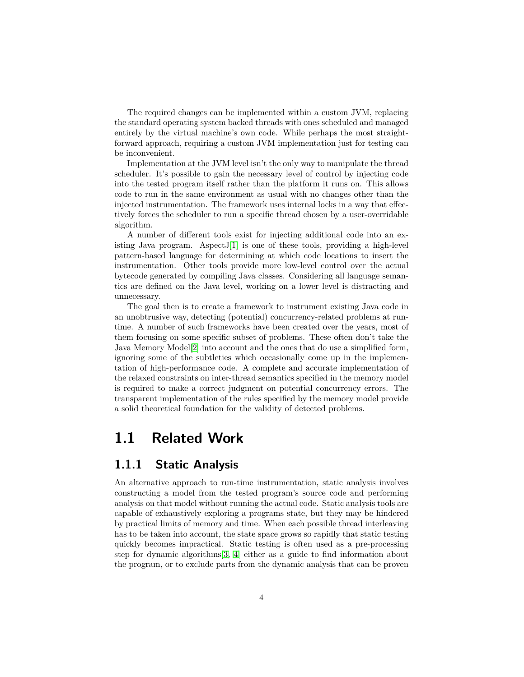The required changes can be implemented within a custom JVM, replacing the standard operating system backed threads with ones scheduled and managed entirely by the virtual machine's own code. While perhaps the most straightforward approach, requiring a custom JVM implementation just for testing can be inconvenient.

Implementation at the JVM level isn't the only way to manipulate the thread scheduler. It's possible to gain the necessary level of control by injecting code into the tested program itself rather than the platform it runs on. This allows code to run in the same environment as usual with no changes other than the injected instrumentation. The framework uses internal locks in a way that effectively forces the scheduler to run a specific thread chosen by a user-overridable algorithm.

A number of different tools exist for injecting additional code into an existing Java program. Aspect  $J[1]$  $J[1]$  is one of these tools, providing a high-level pattern-based language for determining at which code locations to insert the instrumentation. Other tools provide more low-level control over the actual bytecode generated by compiling Java classes. Considering all language semantics are defined on the Java level, working on a lower level is distracting and unnecessary.

The goal then is to create a framework to instrument existing Java code in an unobtrusive way, detecting (potential) concurrency-related problems at runtime. A number of such frameworks have been created over the years, most of them focusing on some specific subset of problems. These often don't take the Java Memory Model[\[2\]](#page-49-1) into account and the ones that do use a simplified form, ignoring some of the subtleties which occasionally come up in the implementation of high-performance code. A complete and accurate implementation of the relaxed constraints on inter-thread semantics specified in the memory model is required to make a correct judgment on potential concurrency errors. The transparent implementation of the rules specified by the memory model provide a solid theoretical foundation for the validity of detected problems.

## <span id="page-4-0"></span>**1.1 Related Work**

#### <span id="page-4-1"></span>**1.1.1 Static Analysis**

An alternative approach to run-time instrumentation, static analysis involves constructing a model from the tested program's source code and performing analysis on that model without running the actual code. Static analysis tools are capable of exhaustively exploring a programs state, but they may be hindered by practical limits of memory and time. When each possible thread interleaving has to be taken into account, the state space grows so rapidly that static testing quickly becomes impractical. Static testing is often used as a pre-processing step for dynamic algorithms[\[3,](#page-49-2) [4\]](#page-49-3) either as a guide to find information about the program, or to exclude parts from the dynamic analysis that can be proven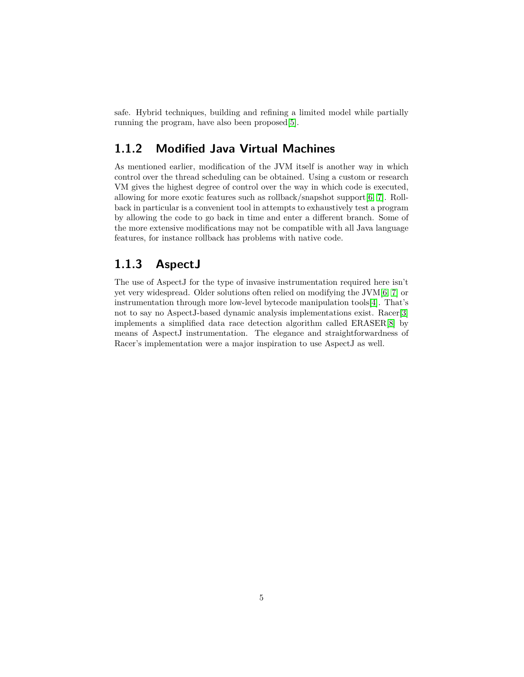safe. Hybrid techniques, building and refining a limited model while partially running the program, have also been proposed[\[5\]](#page-49-4).

#### <span id="page-5-0"></span>**1.1.2 Modified Java Virtual Machines**

As mentioned earlier, modification of the JVM itself is another way in which control over the thread scheduling can be obtained. Using a custom or research VM gives the highest degree of control over the way in which code is executed, allowing for more exotic features such as rollback/snapshot support[\[6,](#page-49-5) [7\]](#page-49-6). Rollback in particular is a convenient tool in attempts to exhaustively test a program by allowing the code to go back in time and enter a different branch. Some of the more extensive modifications may not be compatible with all Java language features, for instance rollback has problems with native code.

#### <span id="page-5-1"></span>**1.1.3 AspectJ**

The use of AspectJ for the type of invasive instrumentation required here isn't yet very widespread. Older solutions often relied on modifying the JVM[\[6,](#page-49-5) [7\]](#page-49-6) or instrumentation through more low-level bytecode manipulation tools[\[4\]](#page-49-3). That's not to say no AspectJ-based dynamic analysis implementations exist. Racer[\[3\]](#page-49-2) implements a simplified data race detection algorithm called ERASER[\[8\]](#page-49-7) by means of AspectJ instrumentation. The elegance and straightforwardness of Racer's implementation were a major inspiration to use AspectJ as well.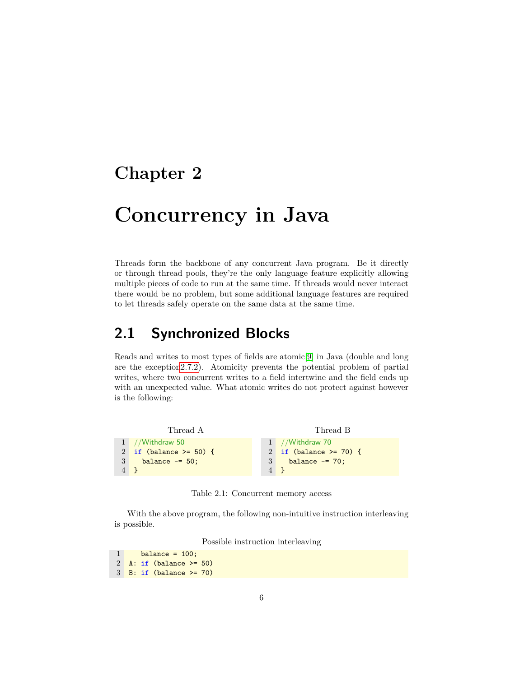## <span id="page-6-0"></span>**Chapter 2**

# **Concurrency in Java**

Threads form the backbone of any concurrent Java program. Be it directly or through thread pools, they're the only language feature explicitly allowing multiple pieces of code to run at the same time. If threads would never interact there would be no problem, but some additional language features are required to let threads safely operate on the same data at the same time.

## <span id="page-6-1"></span>**2.1 Synchronized Blocks**

Reads and writes to most types of fields are atomic[\[9\]](#page-49-8) in Java (double and long are the exceptio[n2.7.2\)](#page-13-2). Atomicity prevents the potential problem of partial writes, where two concurrent writes to a field intertwine and the field ends up with an unexpected value. What atomic writes do not protect against however is the following:

```
Thread A
1 //Withdraw 50
2 if (balance >= 50) {
3 balance == 50;4 }
                                             Thread B
                                  1 //Withdraw 70
                                  2 if (balance >= 70) {
                                  3 balance -= 70;
                                  4 }
```
Table 2.1: Concurrent memory access

With the above program, the following non-intuitive instruction interleaving is possible.

Possible instruction interleaving

```
1 balance = 100;
2 A: if (balance >= 50)
3 B: if (balance >= 70)
```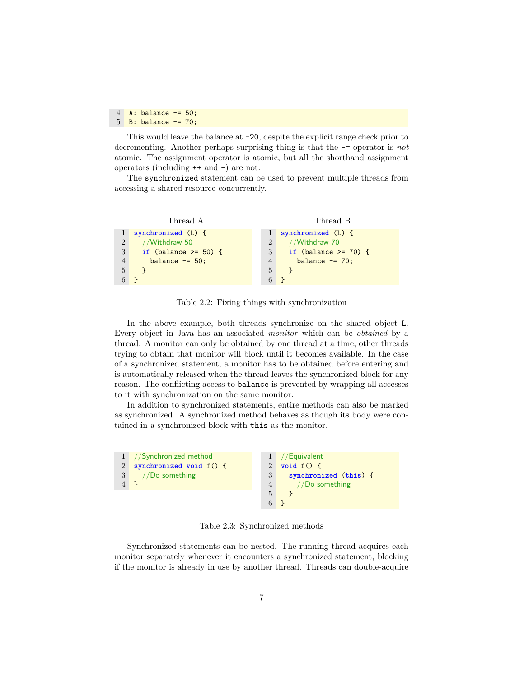$4$  A: balance  $-$ = 50;  $5$  B: balance  $-$ = 70;

This would leave the balance at -20, despite the explicit range check prior to decrementing. Another perhaps surprising thing is that the -= operator is *not* atomic. The assignment operator is atomic, but all the shorthand assignment operators (including ++ and –) are not.

The synchronized statement can be used to prevent multiple threads from accessing a shared resource concurrently.

Thread A 1 **synchronized** (L) { 2 //Withdraw 50 3 **if** (balance >= 50) { 4 balance -= 50; 5 } 6 } Thread B 1 **synchronized** (L) { 2 //Withdraw 70 3 **if** (balance >= 70) { 4 balance -= 70; 5 } 6 }

Table 2.2: Fixing things with synchronization

In the above example, both threads synchronize on the shared object L. Every object in Java has an associated *monitor* which can be *obtained* by a thread. A monitor can only be obtained by one thread at a time, other threads trying to obtain that monitor will block until it becomes available. In the case of a synchronized statement, a monitor has to be obtained before entering and is automatically released when the thread leaves the synchronized block for any reason. The conflicting access to balance is prevented by wrapping all accesses to it with synchronization on the same monitor.

In addition to synchronized statements, entire methods can also be marked as synchronized. A synchronized method behaves as though its body were contained in a synchronized block with this as the monitor.



Table 2.3: Synchronized methods

Synchronized statements can be nested. The running thread acquires each monitor separately whenever it encounters a synchronized statement, blocking if the monitor is already in use by another thread. Threads can double-acquire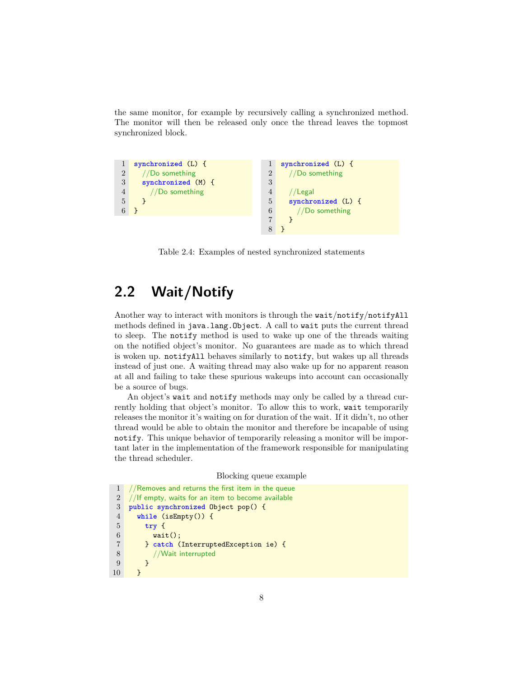the same monitor, for example by recursively calling a synchronized method. The monitor will then be released only once the thread leaves the topmost synchronized block.



Table 2.4: Examples of nested synchronized statements

## <span id="page-8-0"></span>**2.2 Wait/Notify**

Another way to interact with monitors is through the wait/notify/notifyAll methods defined in java.lang.Object. A call to wait puts the current thread to sleep. The notify method is used to wake up one of the threads waiting on the notified object's monitor. No guarantees are made as to which thread is woken up. notifyAll behaves similarly to notify, but wakes up all threads instead of just one. A waiting thread may also wake up for no apparent reason at all and failing to take these spurious wakeups into account can occasionally be a source of bugs.

An object's wait and notify methods may only be called by a thread currently holding that object's monitor. To allow this to work, wait temporarily releases the monitor it's waiting on for duration of the wait. If it didn't, no other thread would be able to obtain the monitor and therefore be incapable of using notify. This unique behavior of temporarily releasing a monitor will be important later in the implementation of the framework responsible for manipulating the thread scheduler.

#### Blocking queue example

```
1 //Removes and returns the first item in the queue
2 //If empty, waits for an item to become available
3 public synchronized Object pop() {
4 while (isEmpty()) {
5 try {
6 wait();
7 } catch (InterruptedException ie) {
8 //Wait interrupted
9 }
10 }
```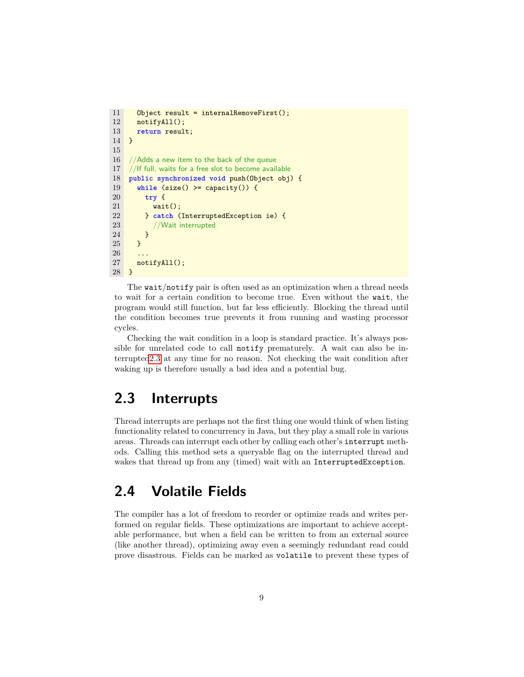```
11 Object result = internalRemoveFirst();
12 notifyAll();
13 return result;
14 }
15
16 //Adds a new item to the back of the queue
17 //If full, waits for a free slot to become available
18 public synchronized void push(Object obj) {
19 while (size() >= capacity()) {
20 try {
21 wait();<br>22 b catch (
        22 } catch (InterruptedException ie) {
23 //Wait interrupted
24 }
25 }
\frac{26}{27}notifyAll();
28 }
```
The wait/notify pair is often used as an optimization when a thread needs to wait for a certain condition to become true. Even without the wait, the program would still function, but far less efficiently. Blocking the thread until the condition becomes true prevents it from running and wasting processor cycles.

Checking the wait condition in a loop is standard practice. It's always possible for unrelated code to call notify prematurely. A wait can also be interrupte[d2.3](#page-9-0) at any time for no reason. Not checking the wait condition after waking up is therefore usually a bad idea and a potential bug.

## <span id="page-9-0"></span>**2.3 Interrupts**

Thread interrupts are perhaps not the first thing one would think of when listing functionality related to concurrency in Java, but they play a small role in various areas. Threads can interrupt each other by calling each other's interrupt methods. Calling this method sets a queryable flag on the interrupted thread and wakes that thread up from any (timed) wait with an InterruptedException.

## <span id="page-9-1"></span>**2.4 Volatile Fields**

The compiler has a lot of freedom to reorder or optimize reads and writes performed on regular fields. These optimizations are important to achieve acceptable performance, but when a field can be written to from an external source (like another thread), optimizing away even a seemingly redundant read could prove disastrous. Fields can be marked as volatile to prevent these types of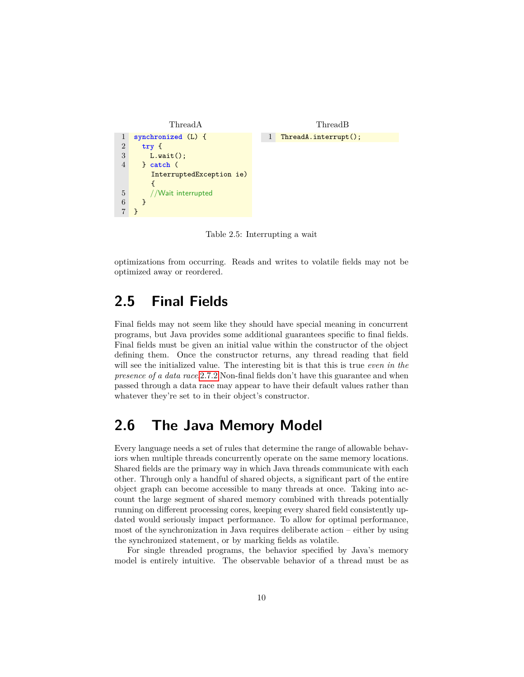

Table 2.5: Interrupting a wait

<span id="page-10-0"></span>optimizations from occurring. Reads and writes to volatile fields may not be optimized away or reordered.

### **2.5 Final Fields**

Final fields may not seem like they should have special meaning in concurrent programs, but Java provides some additional guarantees specific to final fields. Final fields must be given an initial value within the constructor of the object defining them. Once the constructor returns, any thread reading that field will see the initialized value. The interesting bit is that this is true *even in the presence of a data race*[.2.7.2](#page-13-2) Non-final fields don't have this guarantee and when passed through a data race may appear to have their default values rather than whatever they're set to in their object's constructor.

## <span id="page-10-1"></span>**2.6 The Java Memory Model**

Every language needs a set of rules that determine the range of allowable behaviors when multiple threads concurrently operate on the same memory locations. Shared fields are the primary way in which Java threads communicate with each other. Through only a handful of shared objects, a significant part of the entire object graph can become accessible to many threads at once. Taking into account the large segment of shared memory combined with threads potentially running on different processing cores, keeping every shared field consistently updated would seriously impact performance. To allow for optimal performance, most of the synchronization in Java requires deliberate action – either by using the synchronized statement, or by marking fields as volatile.

For single threaded programs, the behavior specified by Java's memory model is entirely intuitive. The observable behavior of a thread must be as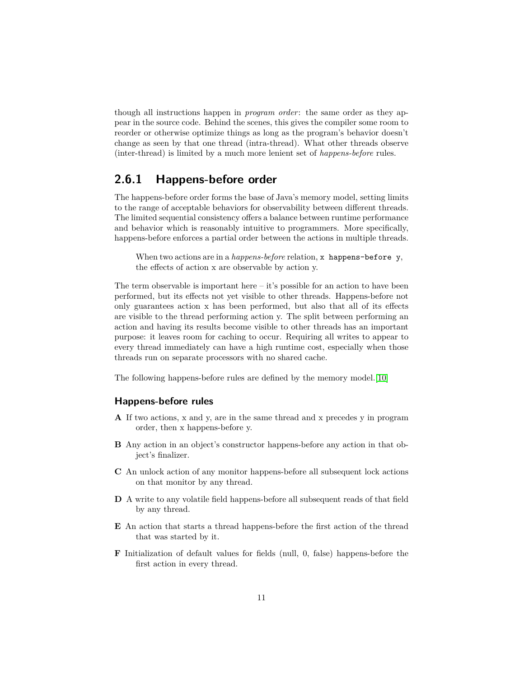though all instructions happen in *program order*: the same order as they appear in the source code. Behind the scenes, this gives the compiler some room to reorder or otherwise optimize things as long as the program's behavior doesn't change as seen by that one thread (intra-thread). What other threads observe (inter-thread) is limited by a much more lenient set of *happens-before* rules.

#### <span id="page-11-0"></span>**2.6.1 Happens-before order**

The happens-before order forms the base of Java's memory model, setting limits to the range of acceptable behaviors for observability between different threads. The limited sequential consistency offers a balance between runtime performance and behavior which is reasonably intuitive to programmers. More specifically, happens-before enforces a partial order between the actions in multiple threads.

When two actions are in a *happens-before* relation, x happens-before y, the effects of action x are observable by action y.

The term observable is important here – it's possible for an action to have been performed, but its effects not yet visible to other threads. Happens-before not only guarantees action x has been performed, but also that all of its effects are visible to the thread performing action y. The split between performing an action and having its results become visible to other threads has an important purpose: it leaves room for caching to occur. Requiring all writes to appear to every thread immediately can have a high runtime cost, especially when those threads run on separate processors with no shared cache.

The following happens-before rules are defined by the memory model.[\[10\]](#page-49-9)

#### **Happens-before rules**

- **A** If two actions, x and y, are in the same thread and x precedes y in program order, then x happens-before y.
- **B** Any action in an object's constructor happens-before any action in that object's finalizer.
- **C** An unlock action of any monitor happens-before all subsequent lock actions on that monitor by any thread.
- **D** A write to any volatile field happens-before all subsequent reads of that field by any thread.
- **E** An action that starts a thread happens-before the first action of the thread that was started by it.
- **F** Initialization of default values for fields (null, 0, false) happens-before the first action in every thread.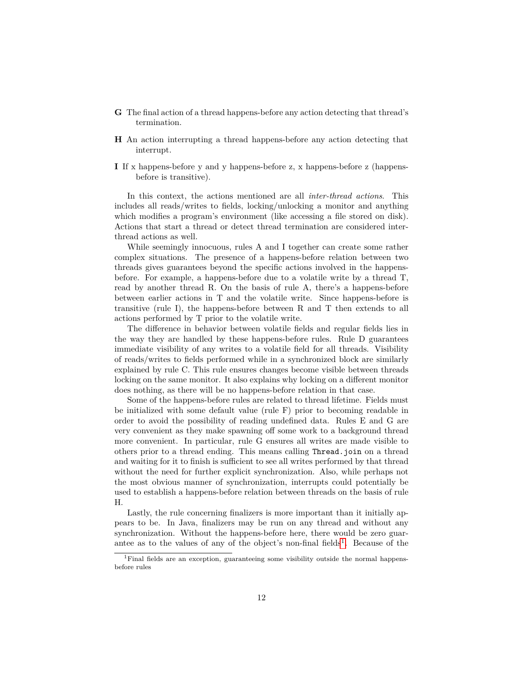- **G** The final action of a thread happens-before any action detecting that thread's termination.
- **H** An action interrupting a thread happens-before any action detecting that interrupt.
- **I** If x happens-before y and y happens-before z, x happens-before z (happensbefore is transitive).

In this context, the actions mentioned are all *inter-thread actions*. This includes all reads/writes to fields, locking/unlocking a monitor and anything which modifies a program's environment (like accessing a file stored on disk). Actions that start a thread or detect thread termination are considered interthread actions as well.

While seemingly innocuous, rules A and I together can create some rather complex situations. The presence of a happens-before relation between two threads gives guarantees beyond the specific actions involved in the happensbefore. For example, a happens-before due to a volatile write by a thread T, read by another thread R. On the basis of rule A, there's a happens-before between earlier actions in T and the volatile write. Since happens-before is transitive (rule I), the happens-before between R and T then extends to all actions performed by T prior to the volatile write.

The difference in behavior between volatile fields and regular fields lies in the way they are handled by these happens-before rules. Rule D guarantees immediate visibility of any writes to a volatile field for all threads. Visibility of reads/writes to fields performed while in a synchronized block are similarly explained by rule C. This rule ensures changes become visible between threads locking on the same monitor. It also explains why locking on a different monitor does nothing, as there will be no happens-before relation in that case.

Some of the happens-before rules are related to thread lifetime. Fields must be initialized with some default value (rule F) prior to becoming readable in order to avoid the possibility of reading undefined data. Rules E and G are very convenient as they make spawning off some work to a background thread more convenient. In particular, rule G ensures all writes are made visible to others prior to a thread ending. This means calling Thread.join on a thread and waiting for it to finish is sufficient to see all writes performed by that thread without the need for further explicit synchronization. Also, while perhaps not the most obvious manner of synchronization, interrupts could potentially be used to establish a happens-before relation between threads on the basis of rule H.

Lastly, the rule concerning finalizers is more important than it initially appears to be. In Java, finalizers may be run on any thread and without any synchronization. Without the happens-before here, there would be zero guar-antee as to the values of any of the object's non-final fields<sup>[1](#page-12-0)</sup>. Because of the

<span id="page-12-0"></span><sup>&</sup>lt;sup>1</sup>Final fields are an exception, guaranteeing some visibility outside the normal happensbefore rules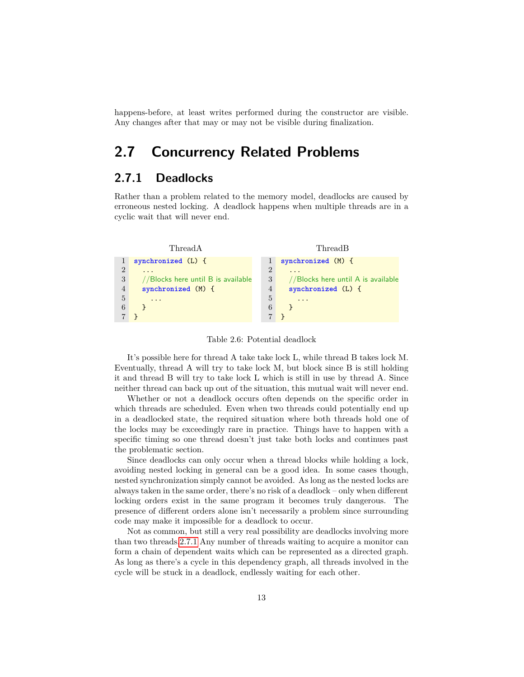<span id="page-13-0"></span>happens-before, at least writes performed during the constructor are visible. Any changes after that may or may not be visible during finalization.

### **2.7 Concurrency Related Problems**

#### <span id="page-13-1"></span>**2.7.1 Deadlocks**

Rather than a problem related to the memory model, deadlocks are caused by erroneous nested locking. A deadlock happens when multiple threads are in a cyclic wait that will never end.



<span id="page-13-3"></span>Table 2.6: Potential deadlock

It's possible here for thread A take take lock L, while thread B takes lock M. Eventually, thread A will try to take lock M, but block since B is still holding it and thread B will try to take lock L which is still in use by thread A. Since neither thread can back up out of the situation, this mutual wait will never end.

Whether or not a deadlock occurs often depends on the specific order in which threads are scheduled. Even when two threads could potentially end up in a deadlocked state, the required situation where both threads hold one of the locks may be exceedingly rare in practice. Things have to happen with a specific timing so one thread doesn't just take both locks and continues past the problematic section.

Since deadlocks can only occur when a thread blocks while holding a lock, avoiding nested locking in general can be a good idea. In some cases though, nested synchronization simply cannot be avoided. As long as the nested locks are always taken in the same order, there's no risk of a deadlock – only when different locking orders exist in the same program it becomes truly dangerous. The presence of different orders alone isn't necessarily a problem since surrounding code may make it impossible for a deadlock to occur.

<span id="page-13-2"></span>Not as common, but still a very real possibility are deadlocks involving more than two threads[.2.7.1](#page-13-3) Any number of threads waiting to acquire a monitor can form a chain of dependent waits which can be represented as a directed graph. As long as there's a cycle in this dependency graph, all threads involved in the cycle will be stuck in a deadlock, endlessly waiting for each other.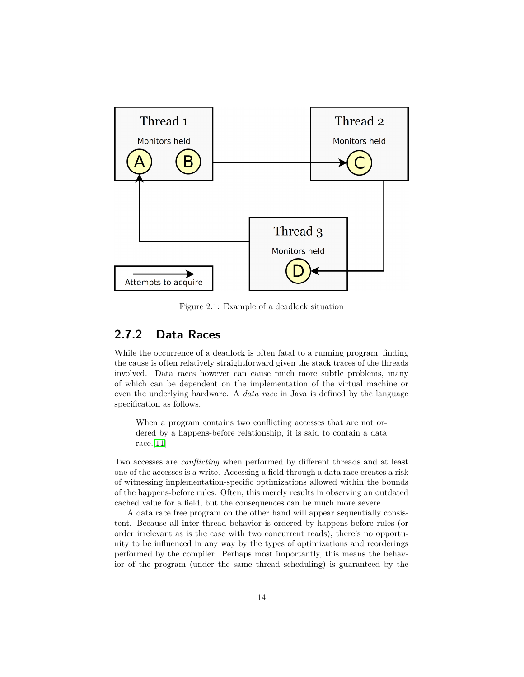

Figure 2.1: Example of a deadlock situation

#### **2.7.2 Data Races**

While the occurrence of a deadlock is often fatal to a running program, finding the cause is often relatively straightforward given the stack traces of the threads involved. Data races however can cause much more subtle problems, many of which can be dependent on the implementation of the virtual machine or even the underlying hardware. A *data race* in Java is defined by the language specification as follows.

When a program contains two conflicting accesses that are not ordered by a happens-before relationship, it is said to contain a data race.[\[11\]](#page-49-10)

Two accesses are *conflicting* when performed by different threads and at least one of the accesses is a write. Accessing a field through a data race creates a risk of witnessing implementation-specific optimizations allowed within the bounds of the happens-before rules. Often, this merely results in observing an outdated cached value for a field, but the consequences can be much more severe.

A data race free program on the other hand will appear sequentially consistent. Because all inter-thread behavior is ordered by happens-before rules (or order irrelevant as is the case with two concurrent reads), there's no opportunity to be influenced in any way by the types of optimizations and reorderings performed by the compiler. Perhaps most importantly, this means the behavior of the program (under the same thread scheduling) is guaranteed by the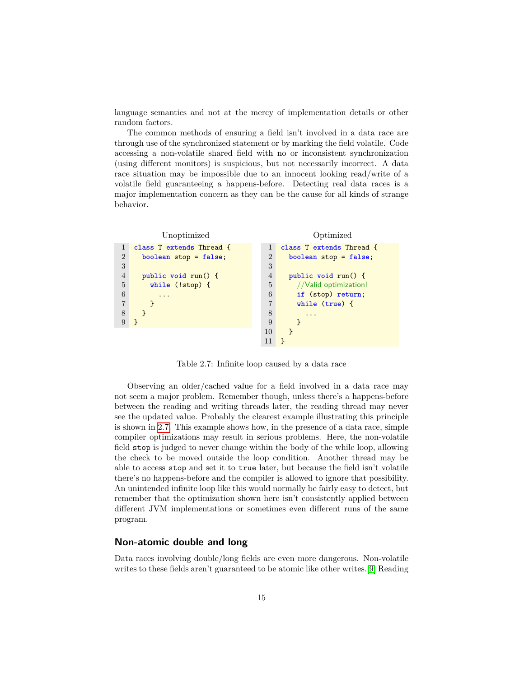language semantics and not at the mercy of implementation details or other random factors.

The common methods of ensuring a field isn't involved in a data race are through use of the synchronized statement or by marking the field volatile. Code accessing a non-volatile shared field with no or inconsistent synchronization (using different monitors) is suspicious, but not necessarily incorrect. A data race situation may be impossible due to an innocent looking read/write of a volatile field guaranteeing a happens-before. Detecting real data races is a major implementation concern as they can be the cause for all kinds of strange behavior.

```
Unoptimized
1 class T extends Thread {
2 boolean stop = false;
3
4 public void run() {
5 while (!stop) {
6 \qquad \ldots7 }
8 }
9 }
                                         Optimized
                                1 class T extends Thread {
                                2 boolean stop = false;
                                3
                                4 public void run() {
                                5 //Valid optimization!
                                6 if (stop) return;
                                7 while (true) {
                                8 ...
                                9 }
                               10 }
                               11 }
```
<span id="page-15-0"></span>Table 2.7: Infinite loop caused by a data race

Observing an older/cached value for a field involved in a data race may not seem a major problem. Remember though, unless there's a happens-before between the reading and writing threads later, the reading thread may never see the updated value. Probably the clearest example illustrating this principle is shown in [2.7.](#page-15-0) This example shows how, in the presence of a data race, simple compiler optimizations may result in serious problems. Here, the non-volatile field stop is judged to never change within the body of the while loop, allowing the check to be moved outside the loop condition. Another thread may be able to access stop and set it to true later, but because the field isn't volatile there's no happens-before and the compiler is allowed to ignore that possibility. An unintended infinite loop like this would normally be fairly easy to detect, but remember that the optimization shown here isn't consistently applied between different JVM implementations or sometimes even different runs of the same program.

#### **Non-atomic double and long**

Data races involving double/long fields are even more dangerous. Non-volatile writes to these fields aren't guaranteed to be atomic like other writes.[\[9\]](#page-49-8) Reading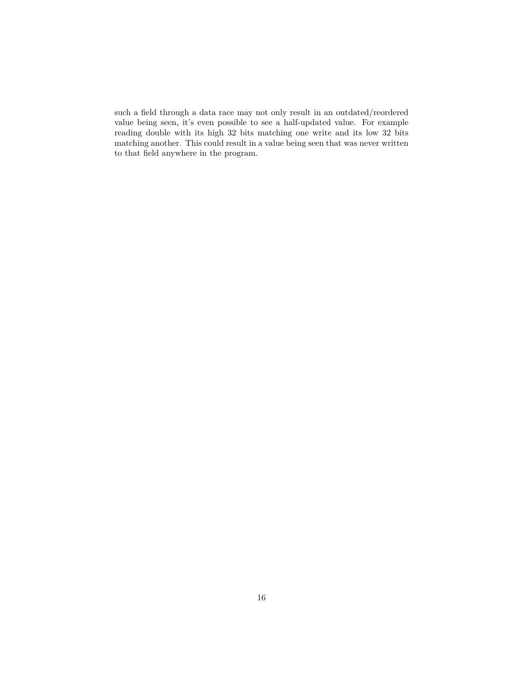such a field through a data race may not only result in an outdated/reordered value being seen, it's even possible to see a half-updated value. For example reading double with its high 32 bits matching one write and its low 32 bits matching another. This could result in a value being seen that was never written to that field anywhere in the program.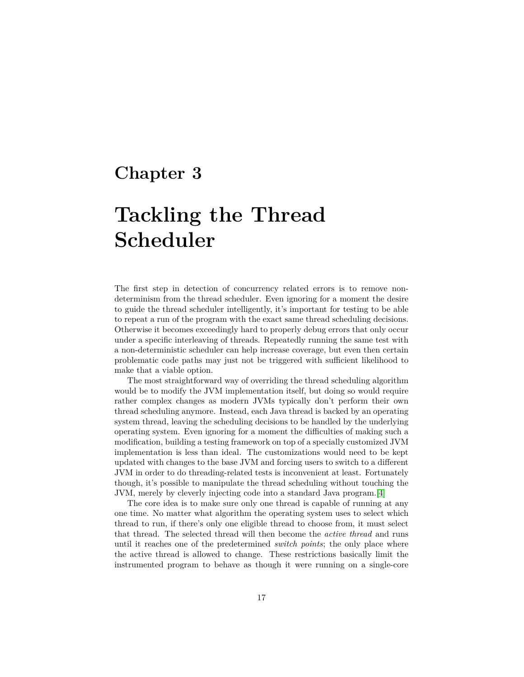## <span id="page-17-0"></span>**Chapter 3**

# **Tackling the Thread Scheduler**

The first step in detection of concurrency related errors is to remove nondeterminism from the thread scheduler. Even ignoring for a moment the desire to guide the thread scheduler intelligently, it's important for testing to be able to repeat a run of the program with the exact same thread scheduling decisions. Otherwise it becomes exceedingly hard to properly debug errors that only occur under a specific interleaving of threads. Repeatedly running the same test with a non-deterministic scheduler can help increase coverage, but even then certain problematic code paths may just not be triggered with sufficient likelihood to make that a viable option.

The most straightforward way of overriding the thread scheduling algorithm would be to modify the JVM implementation itself, but doing so would require rather complex changes as modern JVMs typically don't perform their own thread scheduling anymore. Instead, each Java thread is backed by an operating system thread, leaving the scheduling decisions to be handled by the underlying operating system. Even ignoring for a moment the difficulties of making such a modification, building a testing framework on top of a specially customized JVM implementation is less than ideal. The customizations would need to be kept updated with changes to the base JVM and forcing users to switch to a different JVM in order to do threading-related tests is inconvenient at least. Fortunately though, it's possible to manipulate the thread scheduling without touching the JVM, merely by cleverly injecting code into a standard Java program.[\[4\]](#page-49-3)

The core idea is to make sure only one thread is capable of running at any one time. No matter what algorithm the operating system uses to select which thread to run, if there's only one eligible thread to choose from, it must select that thread. The selected thread will then become the *active thread* and runs until it reaches one of the predetermined *switch points*; the only place where the active thread is allowed to change. These restrictions basically limit the instrumented program to behave as though it were running on a single-core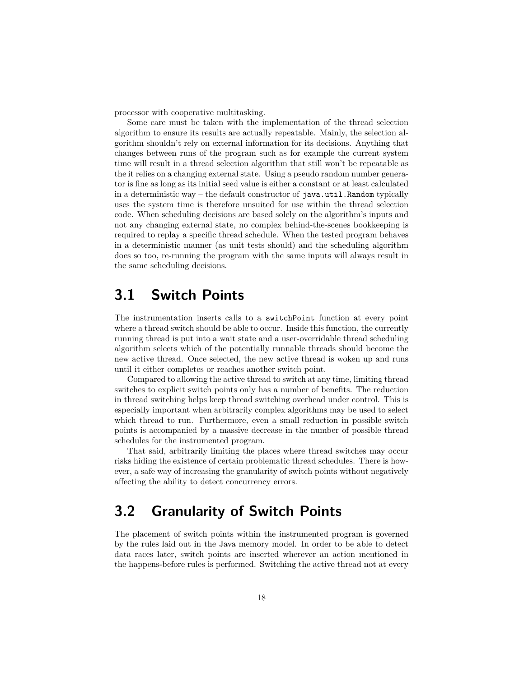processor with cooperative multitasking.

Some care must be taken with the implementation of the thread selection algorithm to ensure its results are actually repeatable. Mainly, the selection algorithm shouldn't rely on external information for its decisions. Anything that changes between runs of the program such as for example the current system time will result in a thread selection algorithm that still won't be repeatable as the it relies on a changing external state. Using a pseudo random number generator is fine as long as its initial seed value is either a constant or at least calculated in a deterministic way – the default constructor of  $java.util .Random$  typically uses the system time is therefore unsuited for use within the thread selection code. When scheduling decisions are based solely on the algorithm's inputs and not any changing external state, no complex behind-the-scenes bookkeeping is required to replay a specific thread schedule. When the tested program behaves in a deterministic manner (as unit tests should) and the scheduling algorithm does so too, re-running the program with the same inputs will always result in the same scheduling decisions.

### <span id="page-18-0"></span>**3.1 Switch Points**

The instrumentation inserts calls to a switchPoint function at every point where a thread switch should be able to occur. Inside this function, the currently running thread is put into a wait state and a user-overridable thread scheduling algorithm selects which of the potentially runnable threads should become the new active thread. Once selected, the new active thread is woken up and runs until it either completes or reaches another switch point.

Compared to allowing the active thread to switch at any time, limiting thread switches to explicit switch points only has a number of benefits. The reduction in thread switching helps keep thread switching overhead under control. This is especially important when arbitrarily complex algorithms may be used to select which thread to run. Furthermore, even a small reduction in possible switch points is accompanied by a massive decrease in the number of possible thread schedules for the instrumented program.

That said, arbitrarily limiting the places where thread switches may occur risks hiding the existence of certain problematic thread schedules. There is however, a safe way of increasing the granularity of switch points without negatively affecting the ability to detect concurrency errors.

## <span id="page-18-1"></span>**3.2 Granularity of Switch Points**

The placement of switch points within the instrumented program is governed by the rules laid out in the Java memory model. In order to be able to detect data races later, switch points are inserted wherever an action mentioned in the happens-before rules is performed. Switching the active thread not at every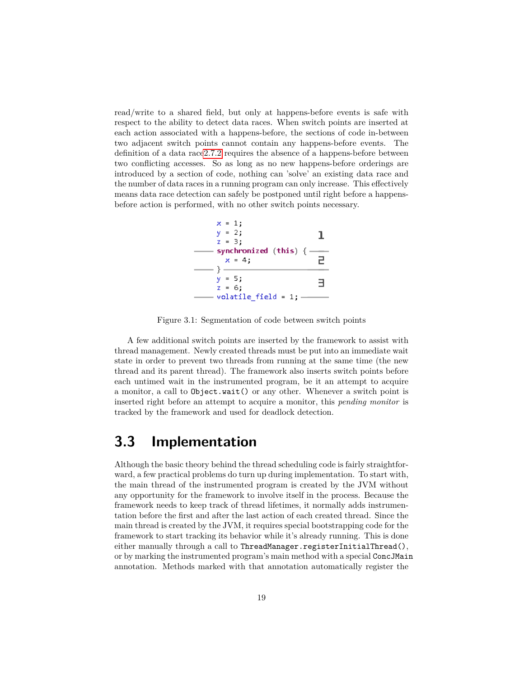read/write to a shared field, but only at happens-before events is safe with respect to the ability to detect data races. When switch points are inserted at each action associated with a happens-before, the sections of code in-between two adjacent switch points cannot contain any happens-before events. The definition of a data rac[e2.7.2](#page-13-2) requires the absence of a happens-before between two conflicting accesses. So as long as no new happens-before orderings are introduced by a section of code, nothing can 'solve' an existing data race and the number of data races in a running program can only increase. This effectively means data race detection can safely be postponed until right before a happensbefore action is performed, with no other switch points necessary.



Figure 3.1: Segmentation of code between switch points

A few additional switch points are inserted by the framework to assist with thread management. Newly created threads must be put into an immediate wait state in order to prevent two threads from running at the same time (the new thread and its parent thread). The framework also inserts switch points before each untimed wait in the instrumented program, be it an attempt to acquire a monitor, a call to Object.wait() or any other. Whenever a switch point is inserted right before an attempt to acquire a monitor, this *pending monitor* is tracked by the framework and used for deadlock detection.

### <span id="page-19-0"></span>**3.3 Implementation**

Although the basic theory behind the thread scheduling code is fairly straightforward, a few practical problems do turn up during implementation. To start with, the main thread of the instrumented program is created by the JVM without any opportunity for the framework to involve itself in the process. Because the framework needs to keep track of thread lifetimes, it normally adds instrumentation before the first and after the last action of each created thread. Since the main thread is created by the JVM, it requires special bootstrapping code for the framework to start tracking its behavior while it's already running. This is done either manually through a call to ThreadManager.registerInitialThread(), or by marking the instrumented program's main method with a special ConcJMain annotation. Methods marked with that annotation automatically register the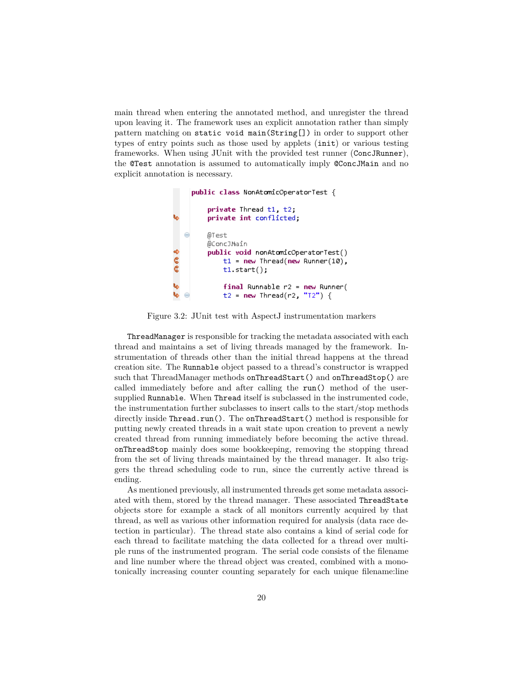main thread when entering the annotated method, and unregister the thread upon leaving it. The framework uses an explicit annotation rather than simply pattern matching on static void main(String[]) in order to support other types of entry points such as those used by applets (init) or various testing frameworks. When using JUnit with the provided test runner (ConcJRunner), the @Test annotation is assumed to automatically imply @ConcJMain and no explicit annotation is necessary.

public class NonAtomicOperatorTest { private Thread t1, t2, ۱ų, private int conflicted; @Test @ConcJMain くちょう public void nonAtomicOperatorTest()  $t1 = new Thread(new Runner(10)$ ,  $t1.start()$ ; Ų,  $final$  Runnable  $r2 = new$  Runner( Ų, t2 =  $new$  Thread(r2, "T2") {

Figure 3.2: JUnit test with AspectJ instrumentation markers

ThreadManager is responsible for tracking the metadata associated with each thread and maintains a set of living threads managed by the framework. Instrumentation of threads other than the initial thread happens at the thread creation site. The Runnable object passed to a thread's constructor is wrapped such that ThreadManager methods onThreadStart() and onThreadStop() are called immediately before and after calling the run() method of the usersupplied Runnable. When Thread itself is subclassed in the instrumented code, the instrumentation further subclasses to insert calls to the start/stop methods directly inside Thread.run(). The onThreadStart() method is responsible for putting newly created threads in a wait state upon creation to prevent a newly created thread from running immediately before becoming the active thread. onThreadStop mainly does some bookkeeping, removing the stopping thread from the set of living threads maintained by the thread manager. It also triggers the thread scheduling code to run, since the currently active thread is ending.

As mentioned previously, all instrumented threads get some metadata associated with them, stored by the thread manager. These associated ThreadState objects store for example a stack of all monitors currently acquired by that thread, as well as various other information required for analysis (data race detection in particular). The thread state also contains a kind of serial code for each thread to facilitate matching the data collected for a thread over multiple runs of the instrumented program. The serial code consists of the filename and line number where the thread object was created, combined with a monotonically increasing counter counting separately for each unique filename:line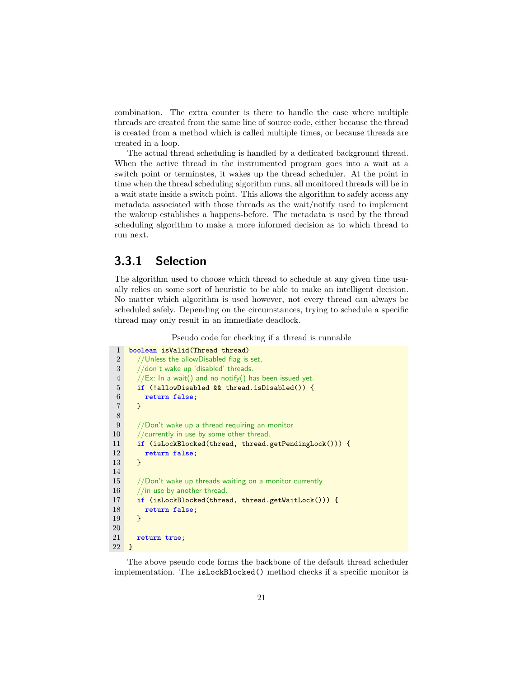combination. The extra counter is there to handle the case where multiple threads are created from the same line of source code, either because the thread is created from a method which is called multiple times, or because threads are created in a loop.

The actual thread scheduling is handled by a dedicated background thread. When the active thread in the instrumented program goes into a wait at a switch point or terminates, it wakes up the thread scheduler. At the point in time when the thread scheduling algorithm runs, all monitored threads will be in a wait state inside a switch point. This allows the algorithm to safely access any metadata associated with those threads as the wait/notify used to implement the wakeup establishes a happens-before. The metadata is used by the thread scheduling algorithm to make a more informed decision as to which thread to run next.

#### <span id="page-21-0"></span>**3.3.1 Selection**

The algorithm used to choose which thread to schedule at any given time usually relies on some sort of heuristic to be able to make an intelligent decision. No matter which algorithm is used however, not every thread can always be scheduled safely. Depending on the circumstances, trying to schedule a specific thread may only result in an immediate deadlock.

Pseudo code for checking if a thread is runnable

| $\mathbf{1}$   | boolean isValid(Thread thread)                         |
|----------------|--------------------------------------------------------|
| $\overline{2}$ | //Unless the allowDisabled flag is set,                |
| 3              | //don't wake up 'disabled' threads.                    |
| $\overline{4}$ | //Ex: In a wait() and no notify() has been issued yet. |
| 5              | if (!allowDisabled && thread.isDisabled()) {           |
| 6              | return false;                                          |
| $\overline{7}$ | ł                                                      |
| 8              |                                                        |
| 9              | //Don't wake up a thread requiring an monitor          |
| 10             | //currently in use by some other thread.               |
| 11             | if (isLockBlocked(thread, thread.getPendingLock())) {  |
| 12             | return false;                                          |
| 13             | ł                                                      |
| 14             |                                                        |
| 15             | //Don't wake up threads waiting on a monitor currently |
| 16             | $1/$ in use by another thread.                         |
| 17             | if (isLockBlocked(thread, thread.getWaitLock())) {     |
| 18             | return false;                                          |
| 19             | ł                                                      |
| $20\,$         |                                                        |
| 21             | return true;                                           |
| 22             | <b>}</b>                                               |

The above pseudo code forms the backbone of the default thread scheduler implementation. The isLockBlocked() method checks if a specific monitor is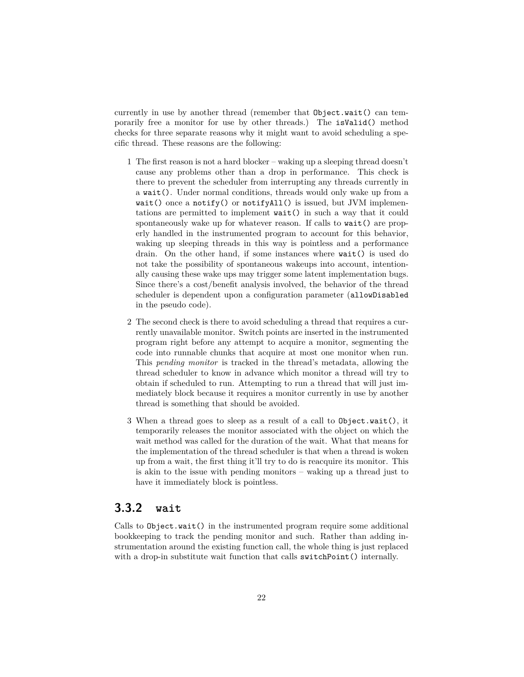currently in use by another thread (remember that Object.wait() can temporarily free a monitor for use by other threads.) The isValid() method checks for three separate reasons why it might want to avoid scheduling a specific thread. These reasons are the following:

- 1 The first reason is not a hard blocker waking up a sleeping thread doesn't cause any problems other than a drop in performance. This check is there to prevent the scheduler from interrupting any threads currently in a wait(). Under normal conditions, threads would only wake up from a wait() once a notify() or notifyAll() is issued, but JVM implementations are permitted to implement wait() in such a way that it could spontaneously wake up for whatever reason. If calls to wait() are properly handled in the instrumented program to account for this behavior, waking up sleeping threads in this way is pointless and a performance drain. On the other hand, if some instances where wait() is used do not take the possibility of spontaneous wakeups into account, intentionally causing these wake ups may trigger some latent implementation bugs. Since there's a cost/benefit analysis involved, the behavior of the thread scheduler is dependent upon a configuration parameter (allowDisabled in the pseudo code).
- 2 The second check is there to avoid scheduling a thread that requires a currently unavailable monitor. Switch points are inserted in the instrumented program right before any attempt to acquire a monitor, segmenting the code into runnable chunks that acquire at most one monitor when run. This *pending monitor* is tracked in the thread's metadata, allowing the thread scheduler to know in advance which monitor a thread will try to obtain if scheduled to run. Attempting to run a thread that will just immediately block because it requires a monitor currently in use by another thread is something that should be avoided.
- 3 When a thread goes to sleep as a result of a call to Object.wait(), it temporarily releases the monitor associated with the object on which the wait method was called for the duration of the wait. What that means for the implementation of the thread scheduler is that when a thread is woken up from a wait, the first thing it'll try to do is reacquire its monitor. This is akin to the issue with pending monitors – waking up a thread just to have it immediately block is pointless.

#### <span id="page-22-0"></span>**3.3.2 wait**

Calls to Object.wait() in the instrumented program require some additional bookkeeping to track the pending monitor and such. Rather than adding instrumentation around the existing function call, the whole thing is just replaced with a drop-in substitute wait function that calls switchPoint () internally.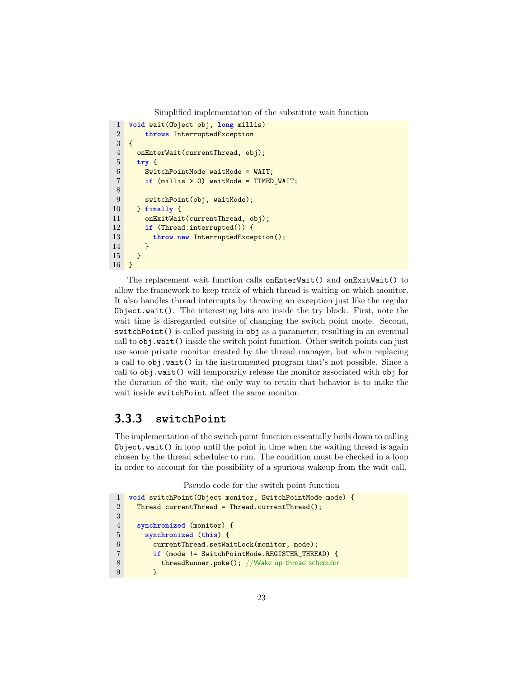Simplified implementation of the substitute wait function

```
1 void wait(Object obj, long millis)
2 throws InterruptedException
3 {
4 onEnterWait(currentThread, obj);
5 try {
6 SwitchPointMode waitMode = WAIT;
7 if (millis > 0) waitMode = TIMED_WAIT;
8
9 switchPoint(obj, waitMode);
10 } finally {
11 onExitWait(currentThread, obj);
12 if (Thread.interrupted()) {
13 throw new InterruptedException();
14 }
15 }
16 }
```
The replacement wait function calls onEnterWait() and onExitWait() to allow the framework to keep track of which thread is waiting on which monitor. It also handles thread interrupts by throwing an exception just like the regular Object.wait(). The interesting bits are inside the try block. First, note the wait time is disregarded outside of changing the switch point mode. Second, switchPoint() is called passing in obj as a parameter, resulting in an eventual call to obj.wait() inside the switch point function. Other switch points can just use some private monitor created by the thread manager, but when replacing a call to obj.wait() in the instrumented program that's not possible. Since a call to obj.wait() will temporarily release the monitor associated with obj for the duration of the wait, the only way to retain that behavior is to make the wait inside switchPoint affect the same monitor.

#### <span id="page-23-0"></span>**3.3.3 switchPoint**

The implementation of the switch point function essentially boils down to calling Object.wait() in loop until the point in time when the waiting thread is again chosen by the thread scheduler to run. The condition must be checked in a loop in order to account for the possibility of a spurious wakeup from the wait call.

Pseudo code for the switch point function

```
1 void switchPoint(Object monitor, SwitchPointMode mode) {
2 Thread currentThread = Thread.currentThread();
3
4 synchronized (monitor) {
5 synchronized (this) {
6 currentThread.setWaitLock(monitor, mode);
7 if (mode != SwitchPointMode.REGISTER_THREAD) {
8 threadRunner.poke(); //Wake up thread scheduler
9 }
```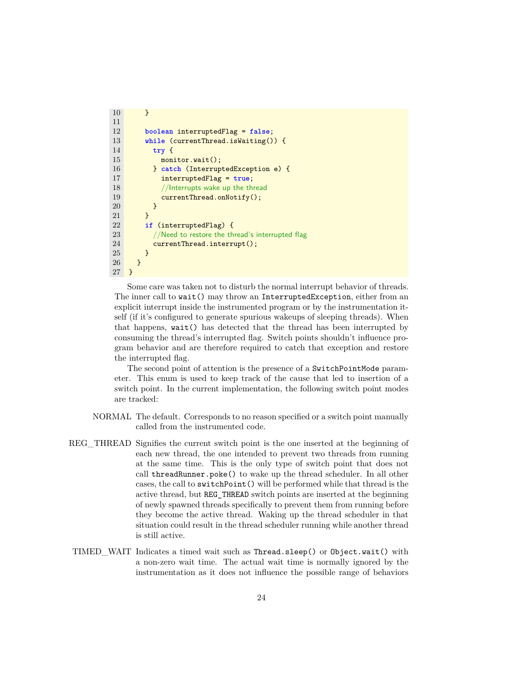```
10 }
11
12 boolean interruptedFlag = false;
13 while (currentThread.isWaiting()) {
14 try {
15 monitor.wait();
16 } catch (InterruptedException e) {
17 interruptedFlag = true;
18 //Interrupts wake up the thread
19 currentThread.onNotify();
\begin{array}{ccc} 20 & & & \text{ } \\ 21 & & & \text{ } \\ \end{array}21 }
22 if (interruptedFlag) {
23 //Need to restore the thread's interrupted flag
24 currentThread.interrupt();
\begin{array}{cc} 25 & \longrightarrow \\ 26 & \longrightarrow \end{array}26 }
27 }
```
Some care was taken not to disturb the normal interrupt behavior of threads. The inner call to wait() may throw an InterruptedException, either from an explicit interrupt inside the instrumented program or by the instrumentation itself (if it's configured to generate spurious wakeups of sleeping threads). When that happens, wait() has detected that the thread has been interrupted by consuming the thread's interrupted flag. Switch points shouldn't influence program behavior and are therefore required to catch that exception and restore the interrupted flag.

The second point of attention is the presence of a SwitchPointMode parameter. This enum is used to keep track of the cause that led to insertion of a switch point. In the current implementation, the following switch point modes are tracked:

- NORMAL The default. Corresponds to no reason specified or a switch point manually called from the instrumented code.
- REG\_THREAD Signifies the current switch point is the one inserted at the beginning of each new thread, the one intended to prevent two threads from running at the same time. This is the only type of switch point that does not call threadRunner.poke() to wake up the thread scheduler. In all other cases, the call to switchPoint() will be performed while that thread is the active thread, but REG\_THREAD switch points are inserted at the beginning of newly spawned threads specifically to prevent them from running before they become the active thread. Waking up the thread scheduler in that situation could result in the thread scheduler running while another thread is still active.
- TIMED\_WAIT Indicates a timed wait such as Thread.sleep() or Object.wait() with a non-zero wait time. The actual wait time is normally ignored by the instrumentation as it does not influence the possible range of behaviors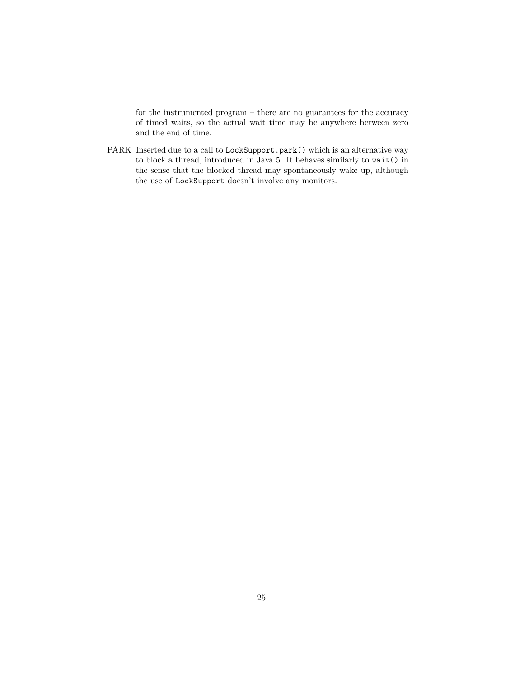for the instrumented program – there are no guarantees for the accuracy of timed waits, so the actual wait time may be anywhere between zero and the end of time.

PARK Inserted due to a call to LockSupport.park() which is an alternative way to block a thread, introduced in Java 5. It behaves similarly to wait() in the sense that the blocked thread may spontaneously wake up, although the use of LockSupport doesn't involve any monitors.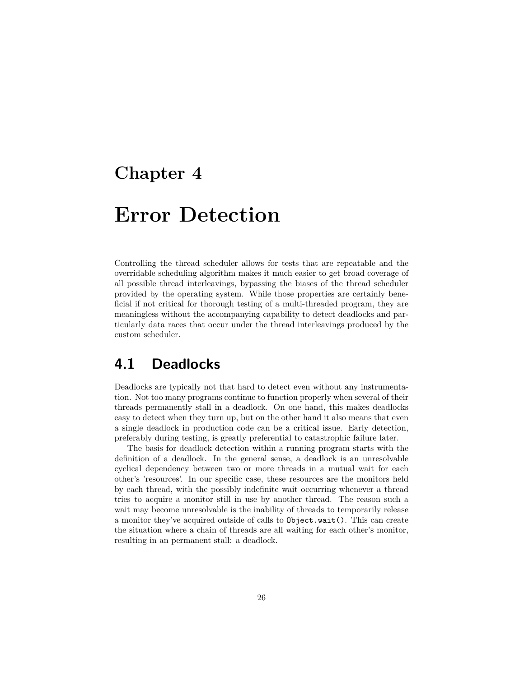## <span id="page-26-0"></span>**Chapter 4**

# **Error Detection**

Controlling the thread scheduler allows for tests that are repeatable and the overridable scheduling algorithm makes it much easier to get broad coverage of all possible thread interleavings, bypassing the biases of the thread scheduler provided by the operating system. While those properties are certainly beneficial if not critical for thorough testing of a multi-threaded program, they are meaningless without the accompanying capability to detect deadlocks and particularly data races that occur under the thread interleavings produced by the custom scheduler.

## <span id="page-26-1"></span>**4.1 Deadlocks**

Deadlocks are typically not that hard to detect even without any instrumentation. Not too many programs continue to function properly when several of their threads permanently stall in a deadlock. On one hand, this makes deadlocks easy to detect when they turn up, but on the other hand it also means that even a single deadlock in production code can be a critical issue. Early detection, preferably during testing, is greatly preferential to catastrophic failure later.

The basis for deadlock detection within a running program starts with the definition of a deadlock. In the general sense, a deadlock is an unresolvable cyclical dependency between two or more threads in a mutual wait for each other's 'resources'. In our specific case, these resources are the monitors held by each thread, with the possibly indefinite wait occurring whenever a thread tries to acquire a monitor still in use by another thread. The reason such a wait may become unresolvable is the inability of threads to temporarily release a monitor they've acquired outside of calls to Object.wait(). This can create the situation where a chain of threads are all waiting for each other's monitor, resulting in an permanent stall: a deadlock.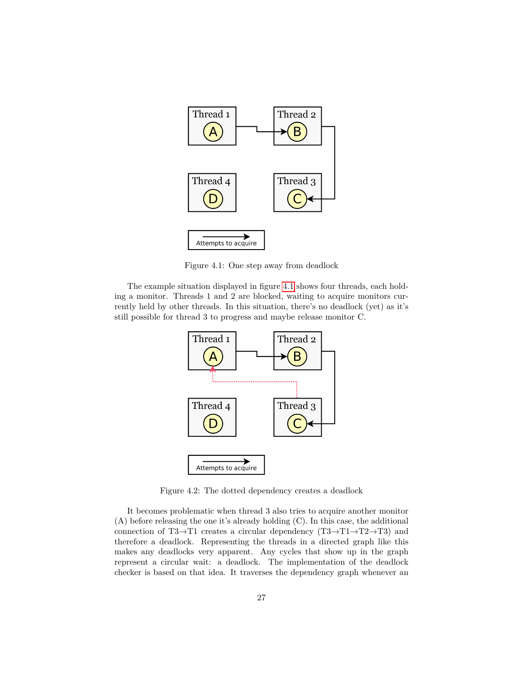

Figure 4.1: One step away from deadlock

The example situation displayed in figure [4.1](#page-26-1) shows four threads, each holding a monitor. Threads 1 and 2 are blocked, waiting to acquire monitors currently held by other threads. In this situation, there's no deadlock (yet) as it's still possible for thread 3 to progress and maybe release monitor C.



Figure 4.2: The dotted dependency creates a deadlock

It becomes problematic when thread 3 also tries to acquire another monitor (A) before releasing the one it's already holding (C). In this case, the additional connection of T3 $\rightarrow$ T1 creates a circular dependency (T3 $\rightarrow$ T1 $\rightarrow$ T2 $\rightarrow$ T3) and therefore a deadlock. Representing the threads in a directed graph like this makes any deadlocks very apparent. Any cycles that show up in the graph represent a circular wait: a deadlock. The implementation of the deadlock checker is based on that idea. It traverses the dependency graph whenever an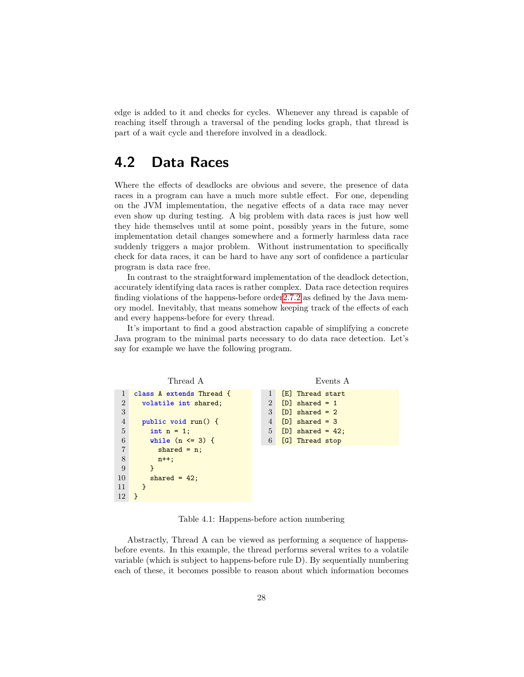edge is added to it and checks for cycles. Whenever any thread is capable of reaching itself through a traversal of the pending locks graph, that thread is part of a wait cycle and therefore involved in a deadlock.

## <span id="page-28-0"></span>**4.2 Data Races**

Where the effects of deadlocks are obvious and severe, the presence of data races in a program can have a much more subtle effect. For one, depending on the JVM implementation, the negative effects of a data race may never even show up during testing. A big problem with data races is just how well they hide themselves until at some point, possibly years in the future, some implementation detail changes somewhere and a formerly harmless data race suddenly triggers a major problem. Without instrumentation to specifically check for data races, it can be hard to have any sort of confidence a particular program is data race free.

In contrast to the straightforward implementation of the deadlock detection, accurately identifying data races is rather complex. Data race detection requires finding violations of the happens-before orde[r2.7.2](#page-13-2) as defined by the Java memory model. Inevitably, that means somehow keeping track of the effects of each and every happens-before for every thread.

It's important to find a good abstraction capable of simplifying a concrete Java program to the minimal parts necessary to do data race detection. Let's say for example we have the following program.

```
Thread A
1 class A extends Thread {
2 volatile int shared;
3
4 public void run() {
5 int n = 1;
6 while (n <= 3) {
7 shared = n;
8 n++;
9 }
10 shared = 42;
11 }
12 }
                                          Events A
                                1 [E] Thread start
                                2 [D] shared = 1
                                3 [D] shared = 2
                                4 [D] shared = 3
                                5 [D] shared = 42;
                                6 [G] Thread stop
```
Table 4.1: Happens-before action numbering

Abstractly, Thread A can be viewed as performing a sequence of happensbefore events. In this example, the thread performs several writes to a volatile variable (which is subject to happens-before rule D). By sequentially numbering each of these, it becomes possible to reason about which information becomes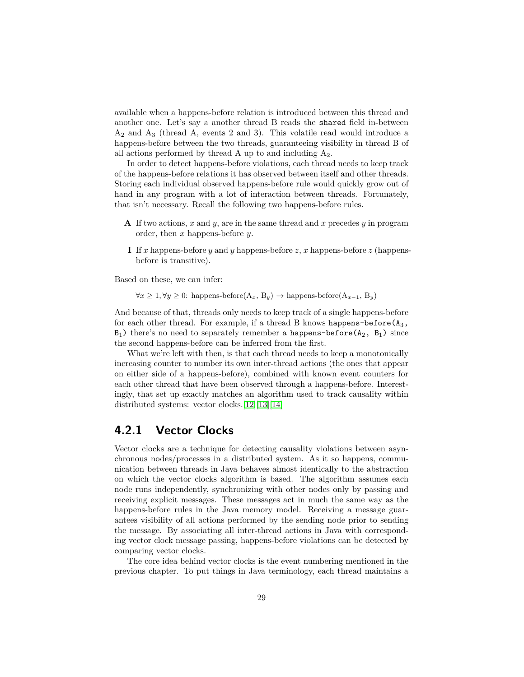available when a happens-before relation is introduced between this thread and another one. Let's say a another thread B reads the shared field in-between  $A_2$  and  $A_3$  (thread A, events 2 and 3). This volatile read would introduce a happens-before between the two threads, guaranteeing visibility in thread B of all actions performed by thread A up to and including  $A_2$ .

In order to detect happens-before violations, each thread needs to keep track of the happens-before relations it has observed between itself and other threads. Storing each individual observed happens-before rule would quickly grow out of hand in any program with a lot of interaction between threads. Fortunately, that isn't necessary. Recall the following two happens-before rules.

- **A** If two actions, *x* and *y*, are in the same thread and *x* precedes *y* in program order, then *x* happens-before *y*.
- **I** If *x* happens-before *y* and *y* happens-before *z*, *x* happens-before *z* (happensbefore is transitive).

Based on these, we can infer:

 $∀x ≥ 1, ∀y ≥ 0$ : happens-before(A<sub>*x*</sub>, B<sub>*y*</sub>) → happens-before(A<sub>*x*-1</sub>, B<sub>*y*</sub>)

And because of that, threads only needs to keep track of a single happens-before for each other thread. For example, if a thread B knows happens-before  $(A_3,$  $B_1$ ) there's no need to separately remember a happens-before( $A_2$ ,  $B_1$ ) since the second happens-before can be inferred from the first.

What we're left with then, is that each thread needs to keep a monotonically increasing counter to number its own inter-thread actions (the ones that appear on either side of a happens-before), combined with known event counters for each other thread that have been observed through a happens-before. Interestingly, that set up exactly matches an algorithm used to track causality within distributed systems: vector clocks.[\[12\]](#page-49-11)[\[13\]](#page-49-12)[\[14\]](#page-49-13)

#### <span id="page-29-0"></span>**4.2.1 Vector Clocks**

Vector clocks are a technique for detecting causality violations between asynchronous nodes/processes in a distributed system. As it so happens, communication between threads in Java behaves almost identically to the abstraction on which the vector clocks algorithm is based. The algorithm assumes each node runs independently, synchronizing with other nodes only by passing and receiving explicit messages. These messages act in much the same way as the happens-before rules in the Java memory model. Receiving a message guarantees visibility of all actions performed by the sending node prior to sending the message. By associating all inter-thread actions in Java with corresponding vector clock message passing, happens-before violations can be detected by comparing vector clocks.

The core idea behind vector clocks is the event numbering mentioned in the previous chapter. To put things in Java terminology, each thread maintains a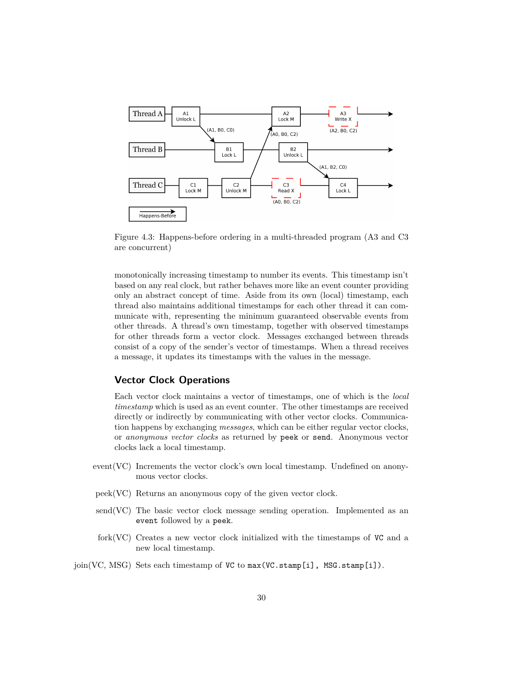

Figure 4.3: Happens-before ordering in a multi-threaded program (A3 and C3 are concurrent)

monotonically increasing timestamp to number its events. This timestamp isn't based on any real clock, but rather behaves more like an event counter providing only an abstract concept of time. Aside from its own (local) timestamp, each thread also maintains additional timestamps for each other thread it can communicate with, representing the minimum guaranteed observable events from other threads. A thread's own timestamp, together with observed timestamps for other threads form a vector clock. Messages exchanged between threads consist of a copy of the sender's vector of timestamps. When a thread receives a message, it updates its timestamps with the values in the message.

#### **Vector Clock Operations**

Each vector clock maintains a vector of timestamps, one of which is the *local timestamp* which is used as an event counter. The other timestamps are received directly or indirectly by communicating with other vector clocks. Communication happens by exchanging *messages*, which can be either regular vector clocks, or *anonymous vector clocks* as returned by peek or send. Anonymous vector clocks lack a local timestamp.

- event(VC) Increments the vector clock's own local timestamp. Undefined on anonymous vector clocks.
- peek(VC) Returns an anonymous copy of the given vector clock.
- $\text{send}(VC)$  The basic vector clock message sending operation. Implemented as an event followed by a peek.
- $fork(VC)$  Creates a new vector clock initialized with the timestamps of  $VC$  and a new local timestamp.
- join(VC, MSG) Sets each timestamp of VC to  $max(VC.stamp[i], MSG.stamp[i]).$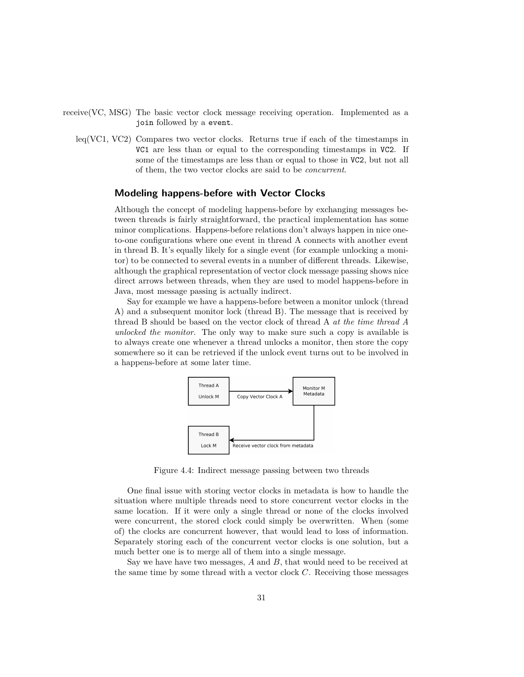- receive(VC, MSG) The basic vector clock message receiving operation. Implemented as a join followed by a event.
	- leq(VC1, VC2) Compares two vector clocks. Returns true if each of the timestamps in VC1 are less than or equal to the corresponding timestamps in VC2. If some of the timestamps are less than or equal to those in VC2, but not all of them, the two vector clocks are said to be *concurrent*.

#### **Modeling happens-before with Vector Clocks**

Although the concept of modeling happens-before by exchanging messages between threads is fairly straightforward, the practical implementation has some minor complications. Happens-before relations don't always happen in nice oneto-one configurations where one event in thread A connects with another event in thread B. It's equally likely for a single event (for example unlocking a monitor) to be connected to several events in a number of different threads. Likewise, although the graphical representation of vector clock message passing shows nice direct arrows between threads, when they are used to model happens-before in Java, most message passing is actually indirect.

Say for example we have a happens-before between a monitor unlock (thread A) and a subsequent monitor lock (thread B). The message that is received by thread B should be based on the vector clock of thread A *at the time thread A unlocked the monitor*. The only way to make sure such a copy is available is to always create one whenever a thread unlocks a monitor, then store the copy somewhere so it can be retrieved if the unlock event turns out to be involved in a happens-before at some later time.



Figure 4.4: Indirect message passing between two threads

One final issue with storing vector clocks in metadata is how to handle the situation where multiple threads need to store concurrent vector clocks in the same location. If it were only a single thread or none of the clocks involved were concurrent, the stored clock could simply be overwritten. When (some of) the clocks are concurrent however, that would lead to loss of information. Separately storing each of the concurrent vector clocks is one solution, but a much better one is to merge all of them into a single message.

Say we have have two messages, *A* and *B*, that would need to be received at the same time by some thread with a vector clock *C*. Receiving those messages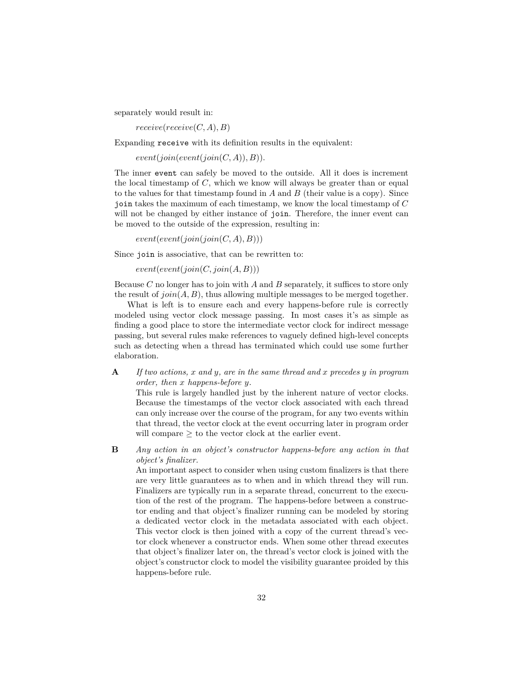separately would result in:

 $receive(receive(C, A), B)$ 

Expanding receive with its definition results in the equivalent:

 $event(join(event(join(C, A)), B)).$ 

The inner event can safely be moved to the outside. All it does is increment the local timestamp of *C*, which we know will always be greater than or equal to the values for that timestamp found in *A* and *B* (their value is a copy). Since join takes the maximum of each timestamp, we know the local timestamp of *C* will not be changed by either instance of join. Therefore, the inner event can be moved to the outside of the expression, resulting in:

 $event(event(join(join(C, A), B)))$ 

Since join is associative, that can be rewritten to:

 $event(event(ioin(C, join(A, B)))$ 

Because *C* no longer has to join with *A* and *B* separately, it suffices to store only the result of *join*(*A, B*), thus allowing multiple messages to be merged together.

What is left is to ensure each and every happens-before rule is correctly modeled using vector clock message passing. In most cases it's as simple as finding a good place to store the intermediate vector clock for indirect message passing, but several rules make references to vaguely defined high-level concepts such as detecting when a thread has terminated which could use some further elaboration.

**A** *If two actions, x and y, are in the same thread and x precedes y in program order, then x happens-before y.*

This rule is largely handled just by the inherent nature of vector clocks. Because the timestamps of the vector clock associated with each thread can only increase over the course of the program, for any two events within that thread, the vector clock at the event occurring later in program order will compare  $\geq$  to the vector clock at the earlier event.

**B** *Any action in an object's constructor happens-before any action in that object's finalizer.*

An important aspect to consider when using custom finalizers is that there are very little guarantees as to when and in which thread they will run. Finalizers are typically run in a separate thread, concurrent to the execution of the rest of the program. The happens-before between a constructor ending and that object's finalizer running can be modeled by storing a dedicated vector clock in the metadata associated with each object. This vector clock is then joined with a copy of the current thread's vector clock whenever a constructor ends. When some other thread executes that object's finalizer later on, the thread's vector clock is joined with the object's constructor clock to model the visibility guarantee proided by this happens-before rule.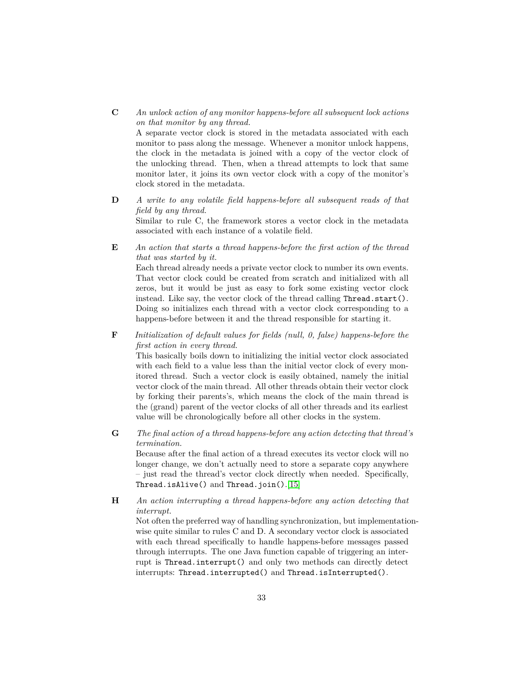**C** *An unlock action of any monitor happens-before all subsequent lock actions on that monitor by any thread.*

A separate vector clock is stored in the metadata associated with each monitor to pass along the message. Whenever a monitor unlock happens, the clock in the metadata is joined with a copy of the vector clock of the unlocking thread. Then, when a thread attempts to lock that same monitor later, it joins its own vector clock with a copy of the monitor's clock stored in the metadata.

- **D** *A write to any volatile field happens-before all subsequent reads of that field by any thread.* Similar to rule C, the framework stores a vector clock in the metadata associated with each instance of a volatile field.
- **E** *An action that starts a thread happens-before the first action of the thread that was started by it.*

Each thread already needs a private vector clock to number its own events. That vector clock could be created from scratch and initialized with all zeros, but it would be just as easy to fork some existing vector clock instead. Like say, the vector clock of the thread calling Thread.start(). Doing so initializes each thread with a vector clock corresponding to a happens-before between it and the thread responsible for starting it.

**F** *Initialization of default values for fields (null, 0, false) happens-before the first action in every thread.*

This basically boils down to initializing the initial vector clock associated with each field to a value less than the initial vector clock of every monitored thread. Such a vector clock is easily obtained, namely the initial vector clock of the main thread. All other threads obtain their vector clock by forking their parents's, which means the clock of the main thread is the (grand) parent of the vector clocks of all other threads and its earliest value will be chronologically before all other clocks in the system.

**G** *The final action of a thread happens-before any action detecting that thread's termination.*

Because after the final action of a thread executes its vector clock will no longer change, we don't actually need to store a separate copy anywhere – just read the thread's vector clock directly when needed. Specifically, Thread.isAlive() and Thread.join().[\[15\]](#page-49-14)

**H** *An action interrupting a thread happens-before any action detecting that interrupt.*

Not often the preferred way of handling synchronization, but implementationwise quite similar to rules C and D. A secondary vector clock is associated with each thread specifically to handle happens-before messages passed through interrupts. The one Java function capable of triggering an interrupt is Thread.interrupt() and only two methods can directly detect interrupts: Thread.interrupted() and Thread.isInterrupted().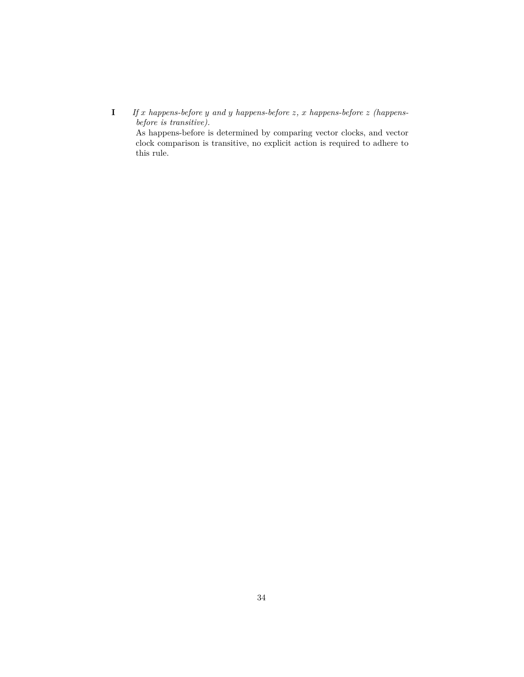**I** *If x happens-before y and y happens-before z, x happens-before z (happensbefore is transitive).*

As happens-before is determined by comparing vector clocks, and vector clock comparison is transitive, no explicit action is required to adhere to this rule.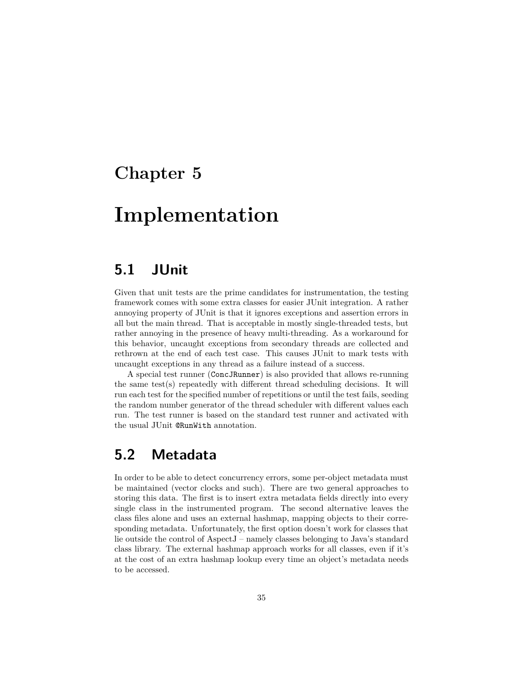## <span id="page-35-0"></span>**Chapter 5**

# **Implementation**

## <span id="page-35-1"></span>**5.1 JUnit**

Given that unit tests are the prime candidates for instrumentation, the testing framework comes with some extra classes for easier JUnit integration. A rather annoying property of JUnit is that it ignores exceptions and assertion errors in all but the main thread. That is acceptable in mostly single-threaded tests, but rather annoying in the presence of heavy multi-threading. As a workaround for this behavior, uncaught exceptions from secondary threads are collected and rethrown at the end of each test case. This causes JUnit to mark tests with uncaught exceptions in any thread as a failure instead of a success.

A special test runner (ConcJRunner) is also provided that allows re-running the same test(s) repeatedly with different thread scheduling decisions. It will run each test for the specified number of repetitions or until the test fails, seeding the random number generator of the thread scheduler with different values each run. The test runner is based on the standard test runner and activated with the usual JUnit @RunWith annotation.

## <span id="page-35-2"></span>**5.2 Metadata**

In order to be able to detect concurrency errors, some per-object metadata must be maintained (vector clocks and such). There are two general approaches to storing this data. The first is to insert extra metadata fields directly into every single class in the instrumented program. The second alternative leaves the class files alone and uses an external hashmap, mapping objects to their corresponding metadata. Unfortunately, the first option doesn't work for classes that lie outside the control of AspectJ – namely classes belonging to Java's standard class library. The external hashmap approach works for all classes, even if it's at the cost of an extra hashmap lookup every time an object's metadata needs to be accessed.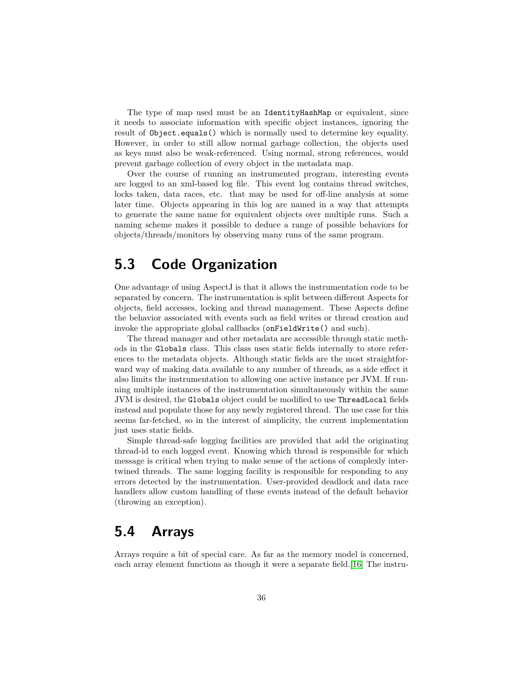The type of map used must be an IdentityHashMap or equivalent, since it needs to associate information with specific object instances, ignoring the result of Object.equals() which is normally used to determine key equality. However, in order to still allow normal garbage collection, the objects used as keys must also be weak-referenced. Using normal, strong references, would prevent garbage collection of every object in the metadata map.

Over the course of running an instrumented program, interesting events are logged to an xml-based log file. This event log contains thread switches, locks taken, data races, etc. that may be used for off-line analysis at some later time. Objects appearing in this log are named in a way that attempts to generate the same name for equivalent objects over multiple runs. Such a naming scheme makes it possible to deduce a range of possible behaviors for objects/threads/monitors by observing many runs of the same program.

## <span id="page-36-0"></span>**5.3 Code Organization**

One advantage of using AspectJ is that it allows the instrumentation code to be separated by concern. The instrumentation is split between different Aspects for objects, field accesses, locking and thread management. These Aspects define the behavior associated with events such as field writes or thread creation and invoke the appropriate global callbacks (onFieldWrite() and such).

The thread manager and other metadata are accessible through static methods in the Globals class. This class uses static fields internally to store references to the metadata objects. Although static fields are the most straightforward way of making data available to any number of threads, as a side effect it also limits the instrumentation to allowing one active instance per JVM. If running multiple instances of the instrumentation simultaneously within the same JVM is desired, the Globals object could be modified to use ThreadLocal fields instead and populate those for any newly registered thread. The use case for this seems far-fetched, so in the interest of simplicity, the current implementation just uses static fields.

Simple thread-safe logging facilities are provided that add the originating thread-id to each logged event. Knowing which thread is responsible for which message is critical when trying to make sense of the actions of complexly intertwined threads. The same logging facility is responsible for responding to any errors detected by the instrumentation. User-provided deadlock and data race handlers allow custom handling of these events instead of the default behavior (throwing an exception).

### <span id="page-36-1"></span>**5.4 Arrays**

Arrays require a bit of special care. As far as the memory model is concerned, each array element functions as though it were a separate field. [\[16\]](#page-49-15) The instru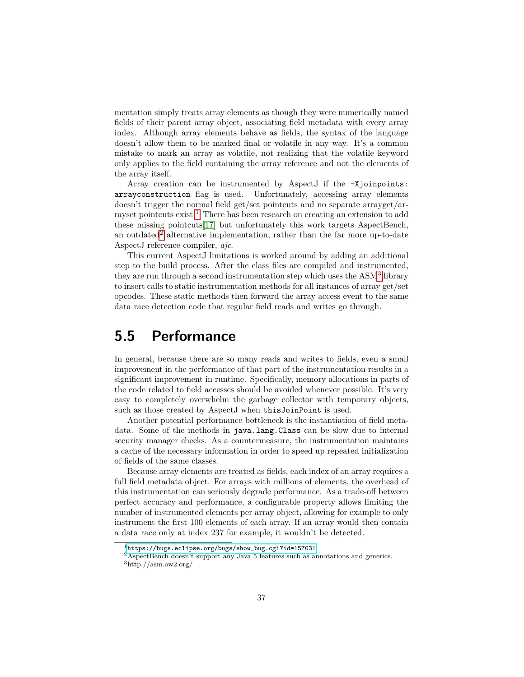mentation simply treats array elements as though they were numerically named fields of their parent array object, associating field metadata with every array index. Although array elements behave as fields, the syntax of the language doesn't allow them to be marked final or volatile in any way. It's a common mistake to mark an array as volatile, not realizing that the volatile keyword only applies to the field containing the array reference and not the elements of the array itself.

Array creation can be instrumented by AspectJ if the -Xjoinpoints: arrayconstruction flag is used. Unfortunately, accessing array elements doesn't trigger the normal field get/set pointcuts and no separate arrayget/arrayset pointcuts exist.[1](#page-37-1) There has been research on creating an extension to add these missing pointcuts[\[17\]](#page-49-16) but unfortunately this work targets AspectBench, an outdated<sup>[2](#page-37-2)</sup> alternative implementation, rather than the far more up-to-date AspectJ reference compiler, *ajc*.

This current AspectJ limitations is worked around by adding an additional step to the build process. After the class files are compiled and instrumented, they are run through a second instrumentation step which uses the ASM<sup>[3](#page-37-3)</sup> library to insert calls to static instrumentation methods for all instances of array get/set opcodes. These static methods then forward the array access event to the same data race detection code that regular field reads and writes go through.

## <span id="page-37-0"></span>**5.5 Performance**

In general, because there are so many reads and writes to fields, even a small improvement in the performance of that part of the instrumentation results in a significant improvement in runtime. Specifically, memory allocations in parts of the code related to field accesses should be avoided whenever possible. It's very easy to completely overwhelm the garbage collector with temporary objects, such as those created by AspectJ when thisJoinPoint is used.

Another potential performance bottleneck is the instantiation of field metadata. Some of the methods in java.lang.Class can be slow due to internal security manager checks. As a countermeasure, the instrumentation maintains a cache of the necessary information in order to speed up repeated initialization of fields of the same classes.

Because array elements are treated as fields, each index of an array requires a full field metadata object. For arrays with millions of elements, the overhead of this instrumentation can seriously degrade performance. As a trade-off between perfect accuracy and performance, a configurable property allows limiting the number of instrumented elements per array object, allowing for example to only instrument the first 100 elements of each array. If an array would then contain a data race only at index 237 for example, it wouldn't be detected.

<span id="page-37-1"></span> $1$ [https://bugs.eclipse.org/bugs/show\\_bug.cgi?id=157031](https://bugs.eclipse.org/bugs/show_bug.cgi?id=157031)

<span id="page-37-2"></span><sup>2</sup>AspectBench doesn't support any Java 5 features such as annotations and generics.

<span id="page-37-3"></span> $3$ http://asm.ow2.org/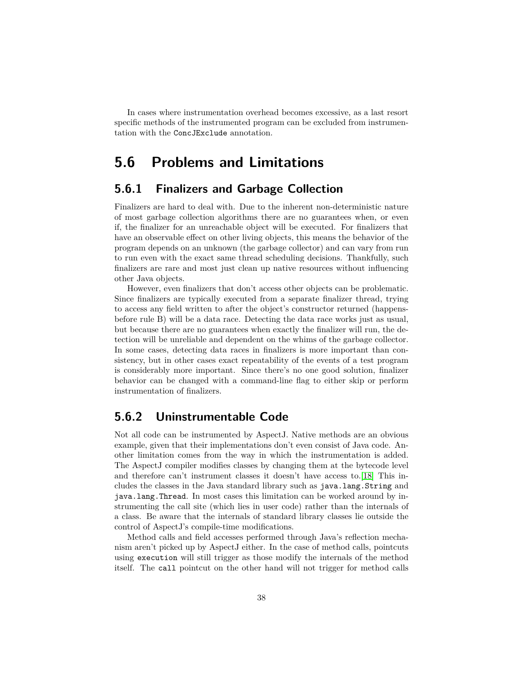In cases where instrumentation overhead becomes excessive, as a last resort specific methods of the instrumented program can be excluded from instrumentation with the ConcJExclude annotation.

### <span id="page-38-0"></span>**5.6 Problems and Limitations**

#### <span id="page-38-1"></span>**5.6.1 Finalizers and Garbage Collection**

Finalizers are hard to deal with. Due to the inherent non-deterministic nature of most garbage collection algorithms there are no guarantees when, or even if, the finalizer for an unreachable object will be executed. For finalizers that have an observable effect on other living objects, this means the behavior of the program depends on an unknown (the garbage collector) and can vary from run to run even with the exact same thread scheduling decisions. Thankfully, such finalizers are rare and most just clean up native resources without influencing other Java objects.

However, even finalizers that don't access other objects can be problematic. Since finalizers are typically executed from a separate finalizer thread, trying to access any field written to after the object's constructor returned (happensbefore rule B) will be a data race. Detecting the data race works just as usual, but because there are no guarantees when exactly the finalizer will run, the detection will be unreliable and dependent on the whims of the garbage collector. In some cases, detecting data races in finalizers is more important than consistency, but in other cases exact repeatability of the events of a test program is considerably more important. Since there's no one good solution, finalizer behavior can be changed with a command-line flag to either skip or perform instrumentation of finalizers.

#### <span id="page-38-2"></span>**5.6.2 Uninstrumentable Code**

Not all code can be instrumented by AspectJ. Native methods are an obvious example, given that their implementations don't even consist of Java code. Another limitation comes from the way in which the instrumentation is added. The AspectJ compiler modifies classes by changing them at the bytecode level and therefore can't instrument classes it doesn't have access to.[\[18\]](#page-49-17) This includes the classes in the Java standard library such as java.lang.String and java.lang.Thread. In most cases this limitation can be worked around by instrumenting the call site (which lies in user code) rather than the internals of a class. Be aware that the internals of standard library classes lie outside the control of AspectJ's compile-time modifications.

Method calls and field accesses performed through Java's reflection mechanism aren't picked up by AspectJ either. In the case of method calls, pointcuts using execution will still trigger as those modify the internals of the method itself. The call pointcut on the other hand will not trigger for method calls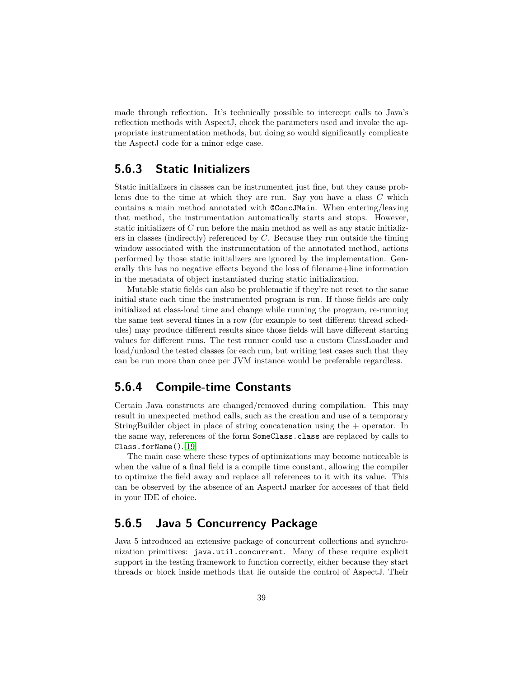made through reflection. It's technically possible to intercept calls to Java's reflection methods with AspectJ, check the parameters used and invoke the appropriate instrumentation methods, but doing so would significantly complicate the AspectJ code for a minor edge case.

#### <span id="page-39-0"></span>**5.6.3 Static Initializers**

Static initializers in classes can be instrumented just fine, but they cause problems due to the time at which they are run. Say you have a class *C* which contains a main method annotated with @ConcJMain. When entering/leaving that method, the instrumentation automatically starts and stops. However, static initializers of *C* run before the main method as well as any static initializers in classes (indirectly) referenced by *C*. Because they run outside the timing window associated with the instrumentation of the annotated method, actions performed by those static initializers are ignored by the implementation. Generally this has no negative effects beyond the loss of filename+line information in the metadata of object instantiated during static initialization.

Mutable static fields can also be problematic if they're not reset to the same initial state each time the instrumented program is run. If those fields are only initialized at class-load time and change while running the program, re-running the same test several times in a row (for example to test different thread schedules) may produce different results since those fields will have different starting values for different runs. The test runner could use a custom ClassLoader and load/unload the tested classes for each run, but writing test cases such that they can be run more than once per JVM instance would be preferable regardless.

#### <span id="page-39-1"></span>**5.6.4 Compile-time Constants**

Certain Java constructs are changed/removed during compilation. This may result in unexpected method calls, such as the creation and use of a temporary StringBuilder object in place of string concatenation using the + operator. In the same way, references of the form SomeClass.class are replaced by calls to Class.forName().[\[19\]](#page-49-18)

The main case where these types of optimizations may become noticeable is when the value of a final field is a compile time constant, allowing the compiler to optimize the field away and replace all references to it with its value. This can be observed by the absence of an AspectJ marker for accesses of that field in your IDE of choice.

#### <span id="page-39-2"></span>**5.6.5 Java 5 Concurrency Package**

Java 5 introduced an extensive package of concurrent collections and synchronization primitives: java.util.concurrent. Many of these require explicit support in the testing framework to function correctly, either because they start threads or block inside methods that lie outside the control of AspectJ. Their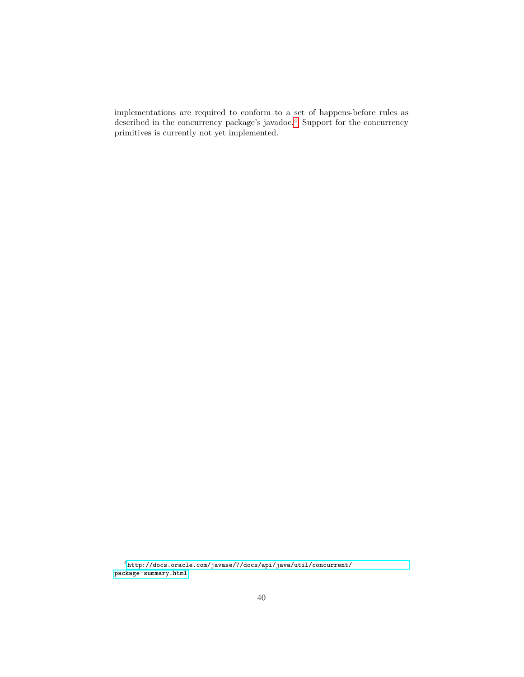implementations are required to conform to a set of happens-before rules as described in the concurrency package's javadoc.<sup>[4](#page-40-0)</sup> Support for the concurrency primitives is currently not yet implemented.

<span id="page-40-0"></span> $^4$ [http://docs.oracle.com/javase/7/docs/api/java/util/concurrent/](http://docs.oracle.com/javase/7/docs/api/java/util/concurrent/package-summary.html) [package-summary.html](http://docs.oracle.com/javase/7/docs/api/java/util/concurrent/package-summary.html)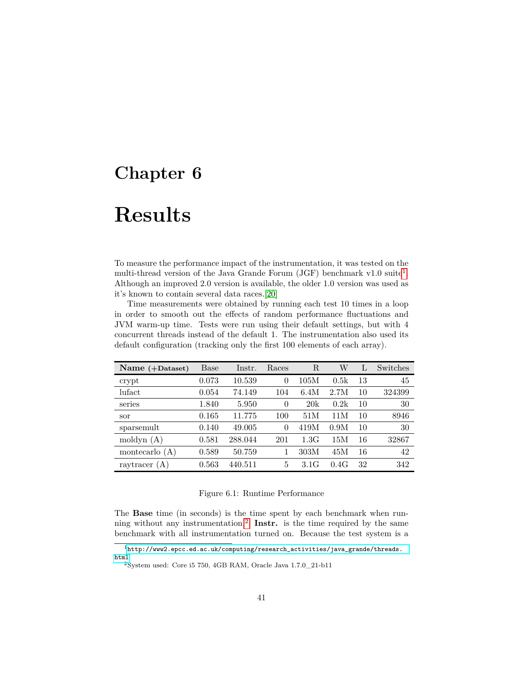## <span id="page-41-0"></span>**Chapter 6**

# **Results**

To measure the performance impact of the instrumentation, it was tested on the multi-thread version of the Java Grande Forum (JGF) benchmark v[1](#page-41-1).0 suite<sup>1</sup>. Although an improved 2.0 version is available, the older 1.0 version was used as it's known to contain several data races.[\[20\]](#page-50-0)

Time measurements were obtained by running each test 10 times in a loop in order to smooth out the effects of random performance fluctuations and JVM warm-up time. Tests were run using their default settings, but with 4 concurrent threads instead of the default 1. The instrumentation also used its default configuration (tracking only the first 100 elements of each array).

| Name $(+$ Dataset) | Base  | Instr.  | Races    | R    | W    |    | Switches |
|--------------------|-------|---------|----------|------|------|----|----------|
| crypt              | 0.073 | 10.539  | 0        | 105M | 0.5k | 13 | 45       |
| lufact             | 0.054 | 74.149  | 104      | 6.4M | 2.7M | 10 | 324399   |
| series             | 1.840 | 5.950   | $\Omega$ | 20k  | 0.2k | 10 | 30       |
| sor                | 0.165 | 11.775  | 100      | 51M  | 11 M | 10 | 8946     |
| sparsemult         | 0.140 | 49.005  | $\theta$ | 419M | 0.9M | 10 | 30       |
| moldyn $(A)$       | 0.581 | 288.044 | 201      | 1.3G | 15M  | 16 | 32867    |
| montecarlo $(A)$   | 0.589 | 50.759  |          | 303M | 45M  | 16 | 42       |
| raytracer $(A)$    | 0.563 | 440.511 | 5        | 3.1G | 0.4G | 32 | 342      |

#### Figure 6.1: Runtime Performance

The **Base** time (in seconds) is the time spent by each benchmark when running without any instrumentation.[2](#page-41-2) **Instr.** is the time required by the same benchmark with all instrumentation turned on. Because the test system is a

<span id="page-41-1"></span><sup>1</sup>[http://www2.epcc.ed.ac.uk/computing/research\\_activities/java\\_grande/threads.](http://www2.epcc.ed.ac.uk/computing/research_activities/java_grande/threads.html) [html](http://www2.epcc.ed.ac.uk/computing/research_activities/java_grande/threads.html)

<span id="page-41-2"></span><sup>2</sup>System used: Core i5 750, 4GB RAM, Oracle Java 1.7.0\_21-b11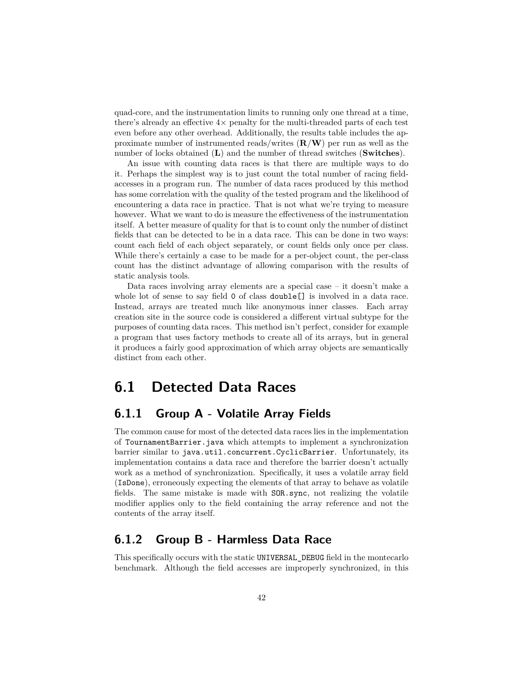quad-core, and the instrumentation limits to running only one thread at a time, there's already an effective  $4\times$  penalty for the multi-threaded parts of each test even before any other overhead. Additionally, the results table includes the approximate number of instrumented reads/writes (**R**/**W**) per run as well as the number of locks obtained (**L**) and the number of thread switches (**Switches**).

An issue with counting data races is that there are multiple ways to do it. Perhaps the simplest way is to just count the total number of racing fieldaccesses in a program run. The number of data races produced by this method has some correlation with the quality of the tested program and the likelihood of encountering a data race in practice. That is not what we're trying to measure however. What we want to do is measure the effectiveness of the instrumentation itself. A better measure of quality for that is to count only the number of distinct fields that can be detected to be in a data race. This can be done in two ways: count each field of each object separately, or count fields only once per class. While there's certainly a case to be made for a per-object count, the per-class count has the distinct advantage of allowing comparison with the results of static analysis tools.

Data races involving array elements are a special case – it doesn't make a whole lot of sense to say field 0 of class **double**[] is involved in a data race. Instead, arrays are treated much like anonymous inner classes. Each array creation site in the source code is considered a different virtual subtype for the purposes of counting data races. This method isn't perfect, consider for example a program that uses factory methods to create all of its arrays, but in general it produces a fairly good approximation of which array objects are semantically distinct from each other.

### <span id="page-42-0"></span>**6.1 Detected Data Races**

#### <span id="page-42-1"></span>**6.1.1 Group A - Volatile Array Fields**

The common cause for most of the detected data races lies in the implementation of TournamentBarrier.java which attempts to implement a synchronization barrier similar to java.util.concurrent.CyclicBarrier. Unfortunately, its implementation contains a data race and therefore the barrier doesn't actually work as a method of synchronization. Specifically, it uses a volatile array field (IsDone), erroneously expecting the elements of that array to behave as volatile fields. The same mistake is made with SOR.sync, not realizing the volatile modifier applies only to the field containing the array reference and not the contents of the array itself.

#### <span id="page-42-2"></span>**6.1.2 Group B - Harmless Data Race**

This specifically occurs with the static UNIVERSAL\_DEBUG field in the montecarlo benchmark. Although the field accesses are improperly synchronized, in this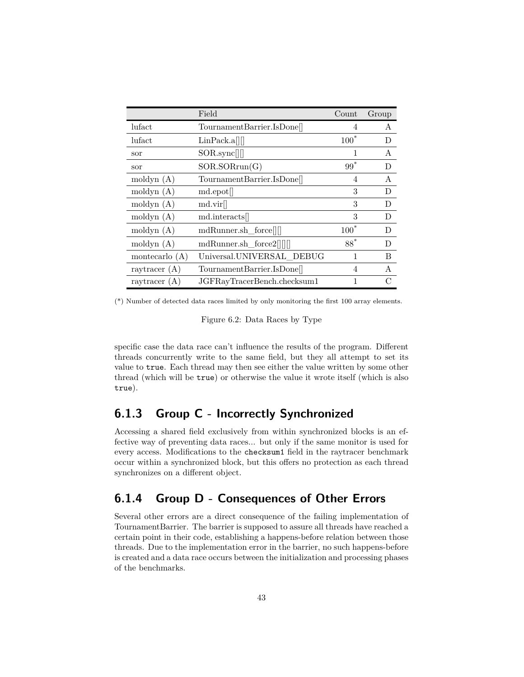|                   | Field                       | Count   | Group        |
|-------------------|-----------------------------|---------|--------------|
| lufact            | TournamentBarrier.IsDone    | 4       | A            |
| lufact            | LinPack.a                   | $100^*$ | D            |
| sor               | SOR.sync                    | 1       | A            |
| sor               | SOR.SORrun(G)               | $99*$   | D            |
| $\text{modym}(A)$ | TournamentBarrier.IsDone    | 4       | $\mathsf{A}$ |
| moldyn $(A)$      | md.epot[]                   | 3       | D            |
| moldyn $(A)$      | md.vir[]                    | 3       | D            |
| moldyn $(A)$      | md.interacts                | 3       | D            |
| moldyn $(A)$      | mdRunner.sh force           | $100*$  | D            |
| moldyn $(A)$      | mdRunner.sh_force2[[[[]]    | $88*$   | D            |
| montecarlo $(A)$  | Universal.UNIVERSAL DEBUG   | 1       | В            |
| raytracer $(A)$   | TournamentBarrier.IsDone    | 4       | A            |
| raytracer $(A)$   | JGFRayTracerBench.checksum1 |         |              |

(\*) Number of detected data races limited by only monitoring the first 100 array elements.

Figure 6.2: Data Races by Type

specific case the data race can't influence the results of the program. Different threads concurrently write to the same field, but they all attempt to set its value to true. Each thread may then see either the value written by some other thread (which will be true) or otherwise the value it wrote itself (which is also true).

#### <span id="page-43-0"></span>**6.1.3 Group C - Incorrectly Synchronized**

Accessing a shared field exclusively from within synchronized blocks is an effective way of preventing data races... but only if the same monitor is used for every access. Modifications to the checksum1 field in the raytracer benchmark occur within a synchronized block, but this offers no protection as each thread synchronizes on a different object.

#### <span id="page-43-1"></span>**6.1.4 Group D - Consequences of Other Errors**

<span id="page-43-2"></span>Several other errors are a direct consequence of the failing implementation of TournamentBarrier. The barrier is supposed to assure all threads have reached a certain point in their code, establishing a happens-before relation between those threads. Due to the implementation error in the barrier, no such happens-before is created and a data race occurs between the initialization and processing phases of the benchmarks.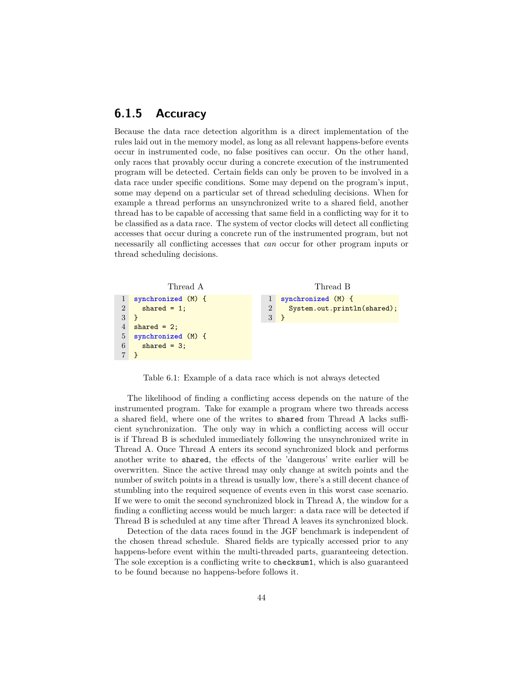#### **6.1.5 Accuracy**

Because the data race detection algorithm is a direct implementation of the rules laid out in the memory model, as long as all relevant happens-before events occur in instrumented code, no false positives can occur. On the other hand, only races that provably occur during a concrete execution of the instrumented program will be detected. Certain fields can only be proven to be involved in a data race under specific conditions. Some may depend on the program's input, some may depend on a particular set of thread scheduling decisions. When for example a thread performs an unsynchronized write to a shared field, another thread has to be capable of accessing that same field in a conflicting way for it to be classified as a data race. The system of vector clocks will detect all conflicting accesses that occur during a concrete run of the instrumented program, but not necessarily all conflicting accesses that *can* occur for other program inputs or thread scheduling decisions.



Table 6.1: Example of a data race which is not always detected

The likelihood of finding a conflicting access depends on the nature of the instrumented program. Take for example a program where two threads access a shared field, where one of the writes to shared from Thread A lacks sufficient synchronization. The only way in which a conflicting access will occur is if Thread B is scheduled immediately following the unsynchronized write in Thread A. Once Thread A enters its second synchronized block and performs another write to shared, the effects of the 'dangerous' write earlier will be overwritten. Since the active thread may only change at switch points and the number of switch points in a thread is usually low, there's a still decent chance of stumbling into the required sequence of events even in this worst case scenario. If we were to omit the second synchronized block in Thread A, the window for a finding a conflicting access would be much larger: a data race will be detected if Thread B is scheduled at any time after Thread A leaves its synchronized block.

<span id="page-44-0"></span>Detection of the data races found in the JGF benchmark is independent of the chosen thread schedule. Shared fields are typically accessed prior to any happens-before event within the multi-threaded parts, guaranteeing detection. The sole exception is a conflicting write to checksum1, which is also guaranteed to be found because no happens-before follows it.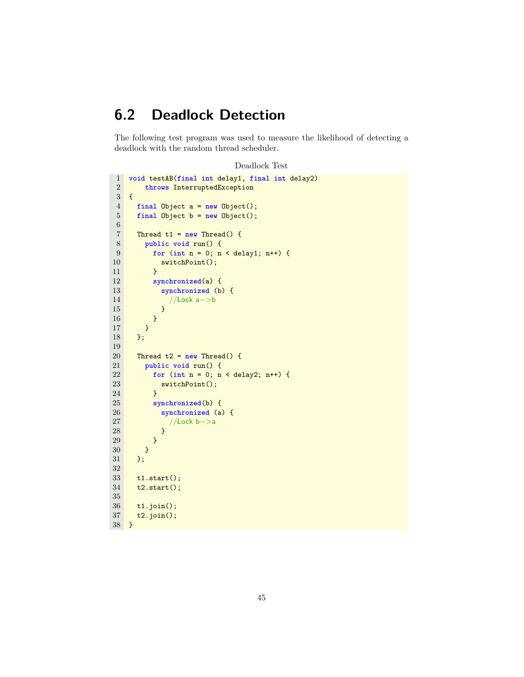## **6.2 Deadlock Detection**

The following test program was used to measure the likelihood of detecting a deadlock with the random thread scheduler.

```
Deadlock Test
```

```
1 void testAB(final int delay1, final int delay2)
 2 throws InterruptedException
     \overline{\mathcal{L}}4 final Object a = new Object();
 5 final Object b = new Object();
 6
 7 Thread t1 = new Thread() {
 8 public void run() {
               9 for (int n = 0; n < delay1; n++) {
10 switchPoint();
\begin{array}{ccc} 11 & & & \frac{1}{2} \\ 12 & & & \frac{1}{2} \\ 13 & & & \frac{1}{2} \\ 14 & & & \frac{1}{2} \\ 15 & & & \frac{1}{2} \\ 16 & & & \frac{1}{2} \\ 17 & & & \frac{1}{2} \\ 18 & & & \frac{1}{2} \\ 19 & & & \frac{1}{2} \\ 11 & & & \frac{1}{2} \\ 11 & & & \frac{1}{2} \\ 11 & & & \frac{1}{2} \\ 12 & & & \frac{1}{2} \\ 13 & & & \frac{1}{2} \\ 14 & & & \frac{1}{2} \\ 15synchronized(a) {
13 synchronized (b) {
14 //Lock a−>b<br>15 }
15 }
\begin{array}{ccc} 16 & & & \text{ } \\ 17 & & & \text{ } \\ \end{array}17 }
18 };
19
20 Thread t2 = new Thread() {
21 public void run() {
22 for (int n = 0; n < delay2; n++) {
23 switchPoint();
24 }
25 synchronized(b) {
26 synchronized (a) {
27 //Lock b−>a
28 }
\begin{array}{ccc} 29 & & & \text{ } \\ 30 & & & \text{ } \\ \end{array}30 }
31 };
32
33 t1.start();
34 t2.start();
35
36 t1.join();
37 t2.join();
38 }
```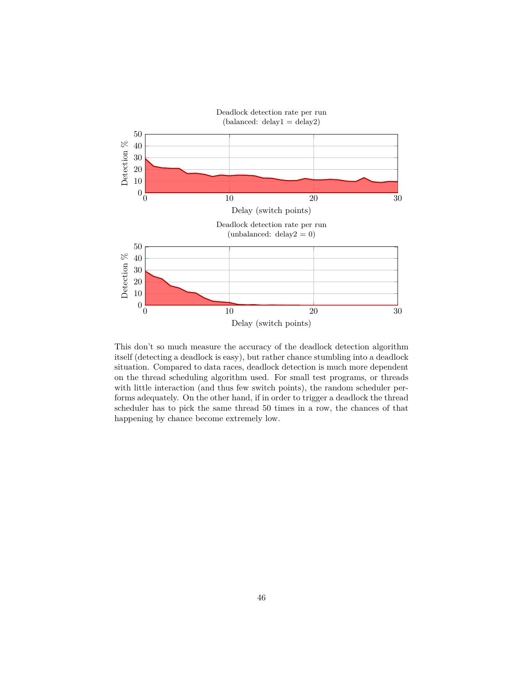

This don't so much measure the accuracy of the deadlock detection algorithm itself (detecting a deadlock is easy), but rather chance stumbling into a deadlock situation. Compared to data races, deadlock detection is much more dependent on the thread scheduling algorithm used. For small test programs, or threads with little interaction (and thus few switch points), the random scheduler performs adequately. On the other hand, if in order to trigger a deadlock the thread scheduler has to pick the same thread 50 times in a row, the chances of that happening by chance become extremely low.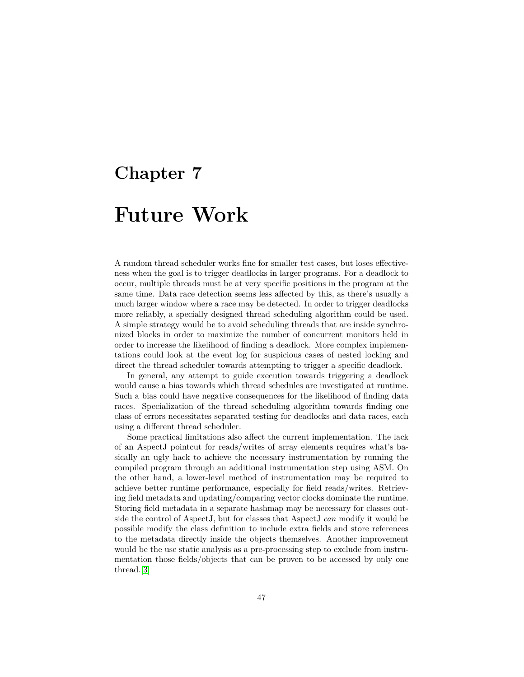## <span id="page-47-0"></span>**Chapter 7**

# **Future Work**

A random thread scheduler works fine for smaller test cases, but loses effectiveness when the goal is to trigger deadlocks in larger programs. For a deadlock to occur, multiple threads must be at very specific positions in the program at the same time. Data race detection seems less affected by this, as there's usually a much larger window where a race may be detected. In order to trigger deadlocks more reliably, a specially designed thread scheduling algorithm could be used. A simple strategy would be to avoid scheduling threads that are inside synchronized blocks in order to maximize the number of concurrent monitors held in order to increase the likelihood of finding a deadlock. More complex implementations could look at the event log for suspicious cases of nested locking and direct the thread scheduler towards attempting to trigger a specific deadlock.

In general, any attempt to guide execution towards triggering a deadlock would cause a bias towards which thread schedules are investigated at runtime. Such a bias could have negative consequences for the likelihood of finding data races. Specialization of the thread scheduling algorithm towards finding one class of errors necessitates separated testing for deadlocks and data races, each using a different thread scheduler.

Some practical limitations also affect the current implementation. The lack of an AspectJ pointcut for reads/writes of array elements requires what's basically an ugly hack to achieve the necessary instrumentation by running the compiled program through an additional instrumentation step using ASM. On the other hand, a lower-level method of instrumentation may be required to achieve better runtime performance, especially for field reads/writes. Retrieving field metadata and updating/comparing vector clocks dominate the runtime. Storing field metadata in a separate hashmap may be necessary for classes outside the control of AspectJ, but for classes that AspectJ *can* modify it would be possible modify the class definition to include extra fields and store references to the metadata directly inside the objects themselves. Another improvement would be the use static analysis as a pre-processing step to exclude from instrumentation those fields/objects that can be proven to be accessed by only one thread.[\[3\]](#page-49-2)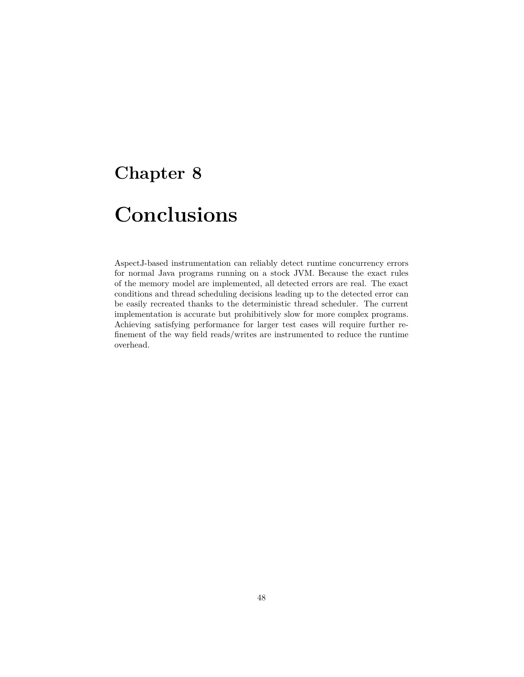## <span id="page-48-0"></span>**Chapter 8**

# **Conclusions**

AspectJ-based instrumentation can reliably detect runtime concurrency errors for normal Java programs running on a stock JVM. Because the exact rules of the memory model are implemented, all detected errors are real. The exact conditions and thread scheduling decisions leading up to the detected error can be easily recreated thanks to the deterministic thread scheduler. The current implementation is accurate but prohibitively slow for more complex programs. Achieving satisfying performance for larger test cases will require further refinement of the way field reads/writes are instrumented to reduce the runtime overhead.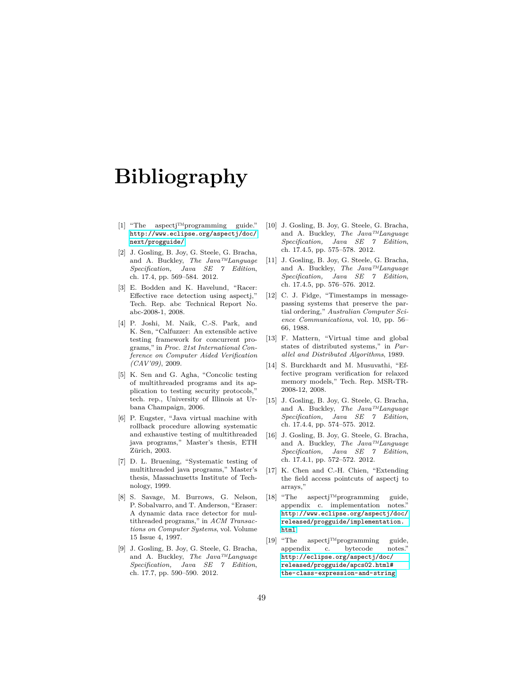# **Bibliography**

- <span id="page-49-0"></span>[1] "The aspectj™programming guide." [http://www.eclipse.org/aspectj/doc/](http://www.eclipse.org/aspectj/doc/next/progguide/) [next/progguide/](http://www.eclipse.org/aspectj/doc/next/progguide/).
- <span id="page-49-1"></span>[2] J. Gosling, B. Joy, G. Steele, G. Bracha, and A. Buckley, *The Java™Language Specification, Java SE 7 Edition*, ch. 17.4, pp. 569–584. 2012.
- <span id="page-49-2"></span>[3] E. Bodden and K. Havelund, "Racer: Effective race detection using aspectj," Tech. Rep. abc Technical Report No. abc-2008-1, 2008.
- <span id="page-49-3"></span>[4] P. Joshi, M. Naik, C.-S. Park, and K. Sen, "Calfuzzer: An extensible active testing framework for concurrent programs," in *Proc. 21st International Conference on Computer Aided Verification (CAV'09)*, 2009.
- <span id="page-49-4"></span>[5] K. Sen and G. Agha, "Concolic testing of multithreaded programs and its application to testing security protocols," tech. rep., University of Illinois at Urbana Champaign, 2006.
- <span id="page-49-5"></span>[6] P. Eugster, "Java virtual machine with rollback procedure allowing systematic and exhaustive testing of multithreaded java programs," Master's thesis, ETH Zürich, 2003.
- <span id="page-49-6"></span>[7] D. L. Bruening, "Systematic testing of multithreaded java programs," Master's thesis, Massachusetts Institute of Technology, 1999.
- <span id="page-49-7"></span>[8] S. Savage, M. Burrows, G. Nelson, P. Sobalvarro, and T. Anderson, "Eraser: A dynamic data race detector for multithreaded programs," in *ACM Transactions on Computer Systems*, vol. Volume 15 Issue 4, 1997.
- <span id="page-49-8"></span>[9] J. Gosling, B. Joy, G. Steele, G. Bracha, and A. Buckley, *The Java™Language Specification, Java SE 7 Edition*, ch. 17.7, pp. 590–590. 2012.
- <span id="page-49-9"></span>[10] J. Gosling, B. Joy, G. Steele, G. Bracha, and A. Buckley, *The Java™Language Specification, Java SE 7 Edition*, ch. 17.4.5, pp. 575–578. 2012.
- <span id="page-49-10"></span>[11] J. Gosling, B. Joy, G. Steele, G. Bracha, and A. Buckley, *The Java™Language Specification, Java SE 7 Edition*, ch. 17.4.5, pp. 576–576. 2012.
- <span id="page-49-11"></span>[12] C. J. Fidge, "Timestamps in messagepassing systems that preserve the partial ordering," *Australian Computer Science Communications*, vol. 10, pp. 56– 66, 1988.
- <span id="page-49-12"></span>[13] F. Mattern, "Virtual time and global states of distributed systems," in *Parallel and Distributed Algorithms*, 1989.
- <span id="page-49-13"></span>[14] S. Burckhardt and M. Musuvathi, "Effective program verification for relaxed memory models," Tech. Rep. MSR-TR-2008-12, 2008.
- <span id="page-49-14"></span>[15] J. Gosling, B. Joy, G. Steele, G. Bracha, and A. Buckley, *The Java™Language Specification, Java SE 7 Edition*, ch. 17.4.4, pp. 574–575. 2012.
- <span id="page-49-15"></span>[16] J. Gosling, B. Joy, G. Steele, G. Bracha, and A. Buckley, *The Java™Language Specification, Java SE 7 Edition*, ch. 17.4.1, pp. 572–572. 2012.
- <span id="page-49-16"></span>[17] K. Chen and C.-H. Chien, "Extending the field access pointcuts of aspectj to arrays,"
- <span id="page-49-17"></span>[18] "The aspectj™programming guide, appendix c. implementation notes." [http://www.eclipse.org/aspectj/doc/](http://www.eclipse.org/aspectj/doc/released/progguide/implementation.html) [released/progguide/implementation.](http://www.eclipse.org/aspectj/doc/released/progguide/implementation.html) [html](http://www.eclipse.org/aspectj/doc/released/progguide/implementation.html).
- <span id="page-49-18"></span>[19] "The aspectj™programming guide, appendix c. bytecode notes." [http://eclipse.org/aspectj/doc/](http://eclipse.org/aspectj/doc/released/progguide/apcs02.html#the-class-expression-and-string) [released/progguide/apcs02.html#](http://eclipse.org/aspectj/doc/released/progguide/apcs02.html#the-class-expression-and-string) [the-class-expression-and-string](http://eclipse.org/aspectj/doc/released/progguide/apcs02.html#the-class-expression-and-string).